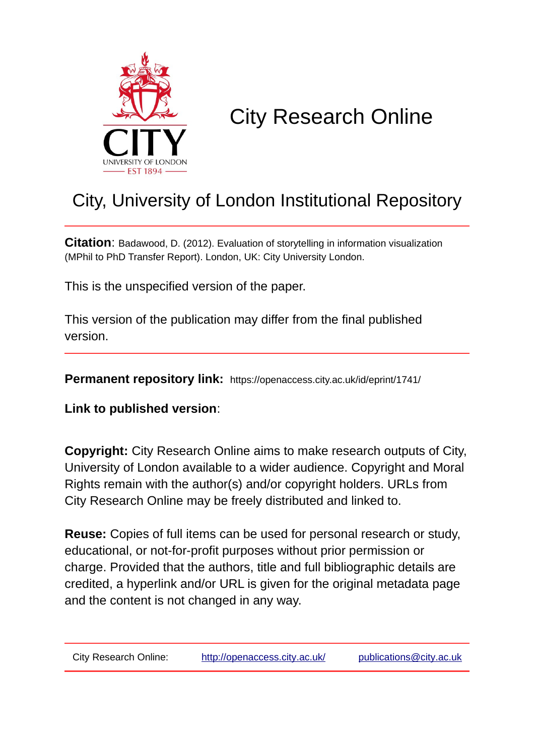

# City Research Online

# City, University of London Institutional Repository

**Citation**: Badawood, D. (2012). Evaluation of storytelling in information visualization (MPhil to PhD Transfer Report). London, UK: City University London.

This is the unspecified version of the paper.

This version of the publication may differ from the final published version.

**Permanent repository link:** https://openaccess.city.ac.uk/id/eprint/1741/

**Link to published version**:

**Copyright:** City Research Online aims to make research outputs of City, University of London available to a wider audience. Copyright and Moral Rights remain with the author(s) and/or copyright holders. URLs from City Research Online may be freely distributed and linked to.

**Reuse:** Copies of full items can be used for personal research or study, educational, or not-for-profit purposes without prior permission or charge. Provided that the authors, title and full bibliographic details are credited, a hyperlink and/or URL is given for the original metadata page and the content is not changed in any way.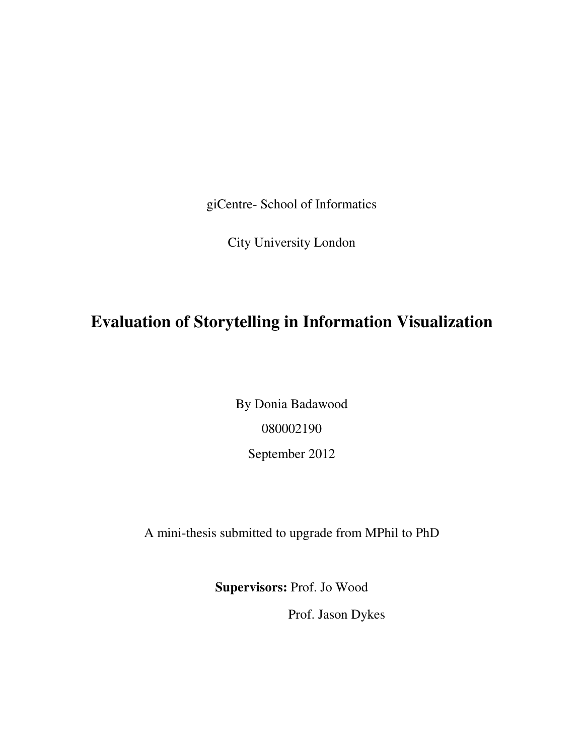giCentre- School of Informatics

City University London

## **Evaluation of Storytelling in Information Visualization**

By Donia Badawood 080002190 September 2012

A mini-thesis submitted to upgrade from MPhil to PhD

**Supervisors:** Prof. Jo Wood

Prof. Jason Dykes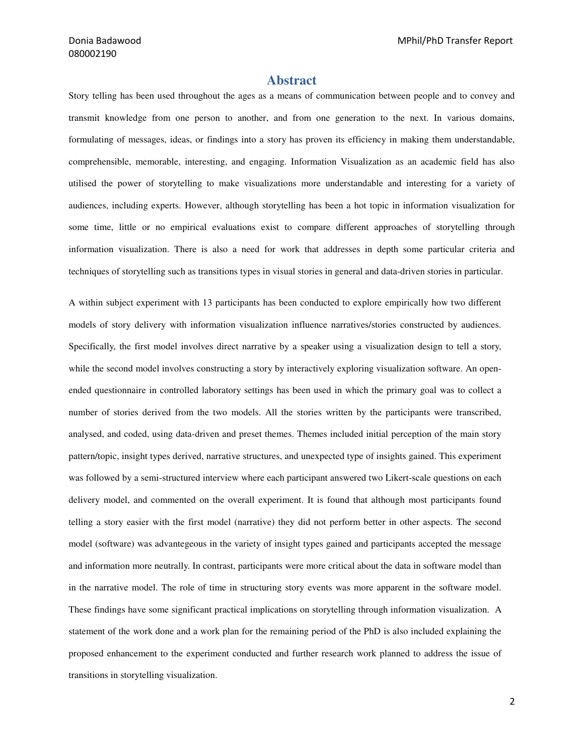## **Abstract**

Story telling has been used throughout the ages as a means of communication between people and to convey and transmit knowledge from one person to another, and from one generation to the next. In various domains, formulating of messages, ideas, or findings into a story has proven its efficiency in making them understandable, comprehensible, memorable, interesting, and engaging. Information Visualization as an academic field has also utilised the power of storytelling to make visualizations more understandable and interesting for a variety of audiences, including experts. However, although storytelling has been a hot topic in information visualization for some time, little or no empirical evaluations exist to compare different approaches of storytelling through information visualization. There is also a need for work that addresses in depth some particular criteria and techniques of storytelling such as transitions types in visual stories in general and data-driven stories in particular.

A within subject experiment with 13 participants has been conducted to explore empirically how two different models of story delivery with information visualization influence narratives/stories constructed by audiences. Specifically, the first model involves direct narrative by a speaker using a visualization design to tell a story, while the second model involves constructing a story by interactively exploring visualization software. An openended questionnaire in controlled laboratory settings has been used in which the primary goal was to collect a number of stories derived from the two models. All the stories written by the participants were transcribed, analysed, and coded, using data-driven and preset themes. Themes included initial perception of the main story pattern/topic, insight types derived, narrative structures, and unexpected type of insights gained. This experiment was followed by a semi-structured interview where each participant answered two Likert-scale questions on each delivery model, and commented on the overall experiment. It is found that although most participants found telling a story easier with the first model (narrative) they did not perform better in other aspects. The second model (software) was advantegeous in the variety of insight types gained and participants accepted the message and information more neutrally. In contrast, participants were more critical about the data in software model than in the narrative model. The role of time in structuring story events was more apparent in the software model. These findings have some significant practical implications on storytelling through information visualization. A statement of the work done and a work plan for the remaining period of the PhD is also included explaining the proposed enhancement to the experiment conducted and further research work planned to address the issue of transitions in storytelling visualization.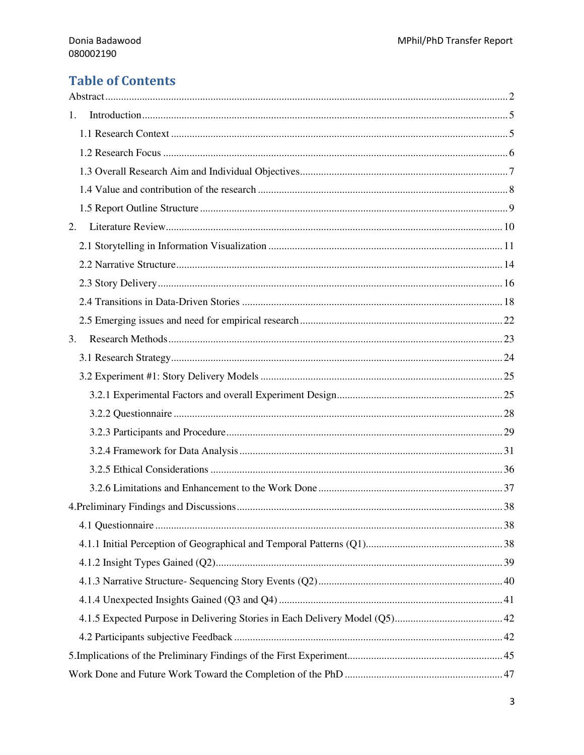## **Table of Contents**

| 1. |  |
|----|--|
|    |  |
|    |  |
|    |  |
|    |  |
|    |  |
| 2. |  |
|    |  |
|    |  |
|    |  |
|    |  |
|    |  |
| 3. |  |
|    |  |
|    |  |
|    |  |
|    |  |
|    |  |
|    |  |
|    |  |
|    |  |
|    |  |
|    |  |
|    |  |
|    |  |
|    |  |
|    |  |
|    |  |
|    |  |
|    |  |
|    |  |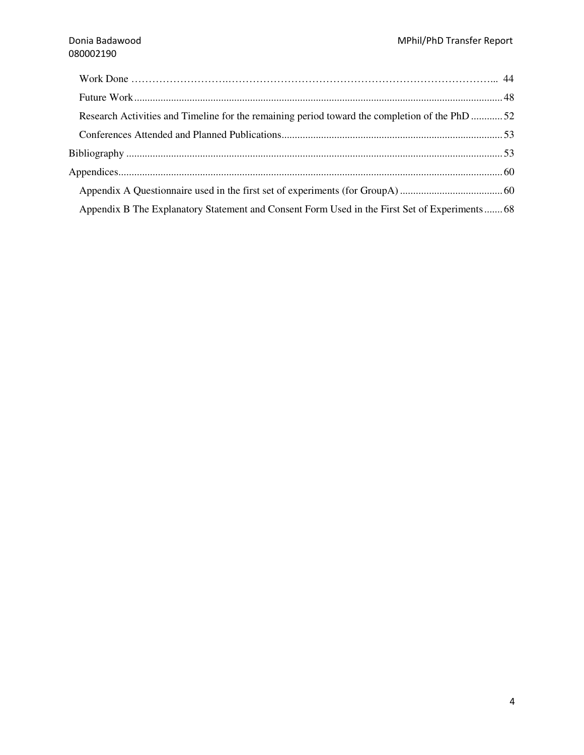| Research Activities and Timeline for the remaining period toward the completion of the PhD 52 |  |
|-----------------------------------------------------------------------------------------------|--|
|                                                                                               |  |
|                                                                                               |  |
|                                                                                               |  |
|                                                                                               |  |
| Appendix B The Explanatory Statement and Consent Form Used in the First Set of Experiments 68 |  |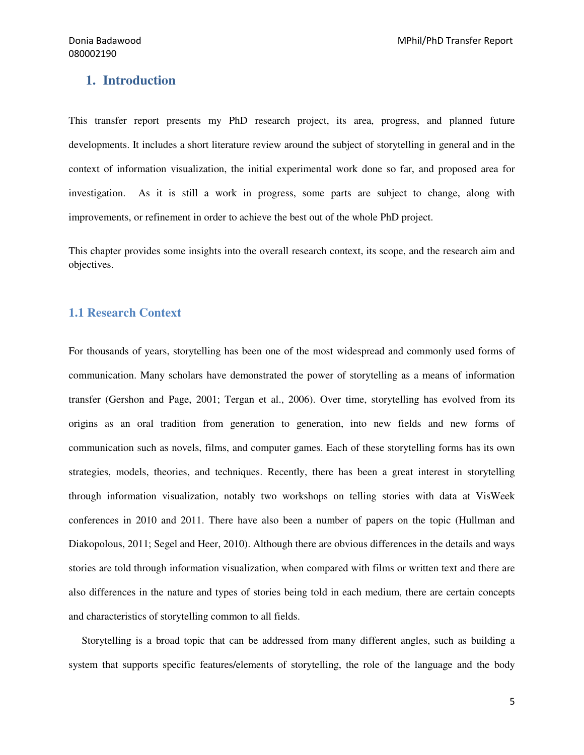## **1. Introduction**

This transfer report presents my PhD research project, its area, progress, and planned future developments. It includes a short literature review around the subject of storytelling in general and in the context of information visualization, the initial experimental work done so far, and proposed area for investigation. As it is still a work in progress, some parts are subject to change, along with improvements, or refinement in order to achieve the best out of the whole PhD project.

This chapter provides some insights into the overall research context, its scope, and the research aim and objectives.

## **1.1 Research Context**

For thousands of years, storytelling has been one of the most widespread and commonly used forms of communication. Many scholars have demonstrated the power of storytelling as a means of information transfer (Gershon and Page, 2001; Tergan et al., 2006). Over time, storytelling has evolved from its origins as an oral tradition from generation to generation, into new fields and new forms of communication such as novels, films, and computer games. Each of these storytelling forms has its own strategies, models, theories, and techniques. Recently, there has been a great interest in storytelling through information visualization, notably two workshops on telling stories with data at VisWeek conferences in 2010 and 2011. There have also been a number of papers on the topic (Hullman and Diakopolous, 2011; Segel and Heer, 2010). Although there are obvious differences in the details and ways stories are told through information visualization, when compared with films or written text and there are also differences in the nature and types of stories being told in each medium, there are certain concepts and characteristics of storytelling common to all fields.

 Storytelling is a broad topic that can be addressed from many different angles, such as building a system that supports specific features/elements of storytelling, the role of the language and the body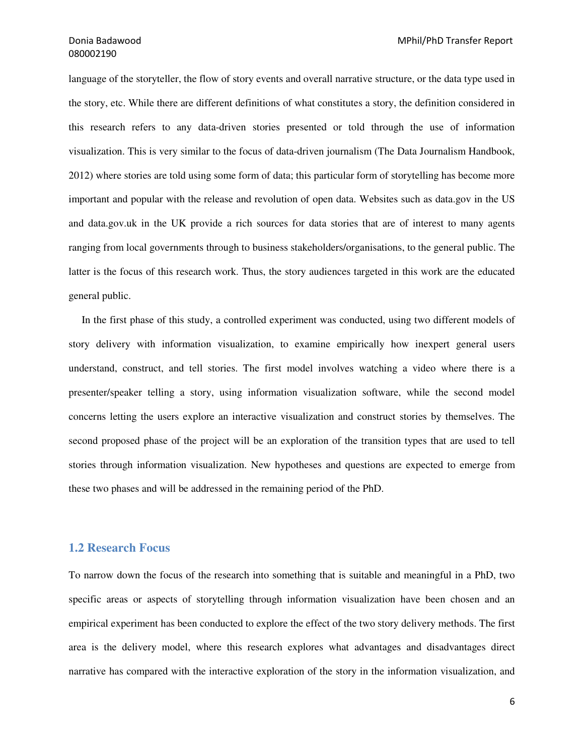language of the storyteller, the flow of story events and overall narrative structure, or the data type used in the story, etc. While there are different definitions of what constitutes a story, the definition considered in this research refers to any data-driven stories presented or told through the use of information visualization. This is very similar to the focus of data-driven journalism (The Data Journalism Handbook, 2012) where stories are told using some form of data; this particular form of storytelling has become more important and popular with the release and revolution of open data. Websites such as data.gov in the US and data.gov.uk in the UK provide a rich sources for data stories that are of interest to many agents ranging from local governments through to business stakeholders/organisations, to the general public. The latter is the focus of this research work. Thus, the story audiences targeted in this work are the educated general public.

 In the first phase of this study, a controlled experiment was conducted, using two different models of story delivery with information visualization, to examine empirically how inexpert general users understand, construct, and tell stories. The first model involves watching a video where there is a presenter/speaker telling a story, using information visualization software, while the second model concerns letting the users explore an interactive visualization and construct stories by themselves. The second proposed phase of the project will be an exploration of the transition types that are used to tell stories through information visualization. New hypotheses and questions are expected to emerge from these two phases and will be addressed in the remaining period of the PhD.

## **1.2 Research Focus**

To narrow down the focus of the research into something that is suitable and meaningful in a PhD, two specific areas or aspects of storytelling through information visualization have been chosen and an empirical experiment has been conducted to explore the effect of the two story delivery methods. The first area is the delivery model, where this research explores what advantages and disadvantages direct narrative has compared with the interactive exploration of the story in the information visualization, and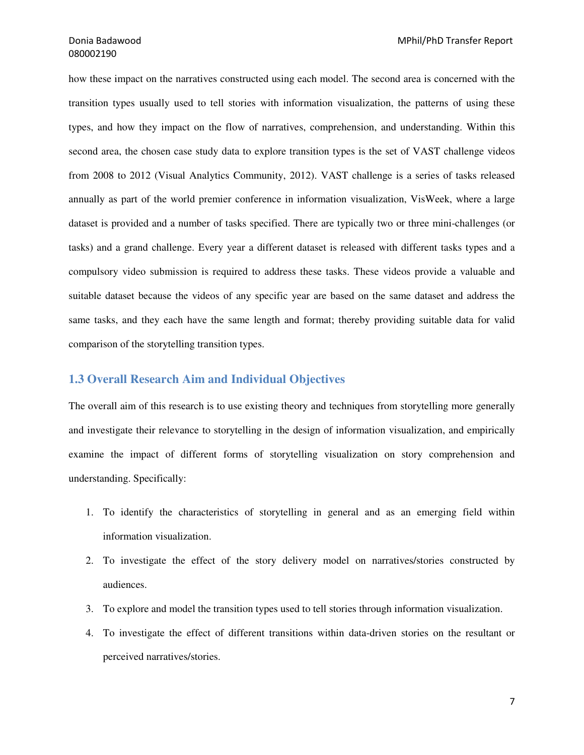how these impact on the narratives constructed using each model. The second area is concerned with the transition types usually used to tell stories with information visualization, the patterns of using these types, and how they impact on the flow of narratives, comprehension, and understanding. Within this second area, the chosen case study data to explore transition types is the set of VAST challenge videos from 2008 to 2012 (Visual Analytics Community, 2012). VAST challenge is a series of tasks released annually as part of the world premier conference in information visualization, VisWeek, where a large dataset is provided and a number of tasks specified. There are typically two or three mini-challenges (or tasks) and a grand challenge. Every year a different dataset is released with different tasks types and a compulsory video submission is required to address these tasks. These videos provide a valuable and suitable dataset because the videos of any specific year are based on the same dataset and address the same tasks, and they each have the same length and format; thereby providing suitable data for valid comparison of the storytelling transition types.

## **1.3 Overall Research Aim and Individual Objectives**

The overall aim of this research is to use existing theory and techniques from storytelling more generally and investigate their relevance to storytelling in the design of information visualization, and empirically examine the impact of different forms of storytelling visualization on story comprehension and understanding. Specifically:

- 1. To identify the characteristics of storytelling in general and as an emerging field within information visualization.
- 2. To investigate the effect of the story delivery model on narratives/stories constructed by audiences.
- 3. To explore and model the transition types used to tell stories through information visualization.
- 4. To investigate the effect of different transitions within data-driven stories on the resultant or perceived narratives/stories.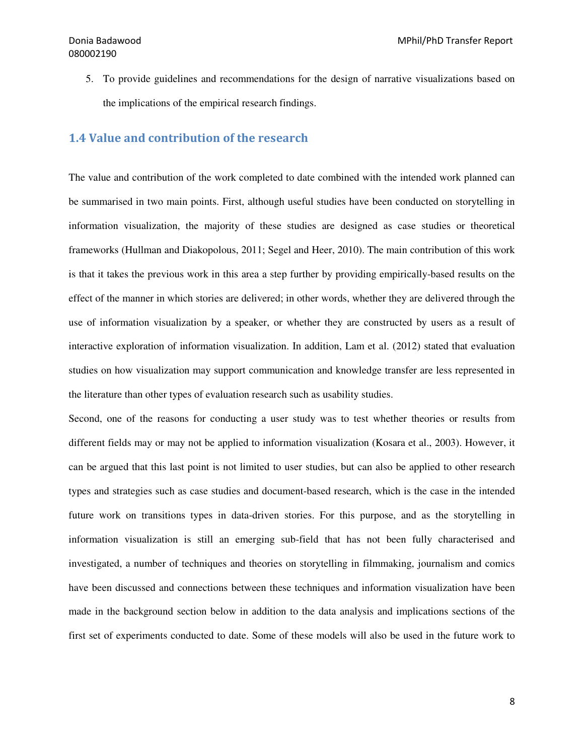5. To provide guidelines and recommendations for the design of narrative visualizations based on the implications of the empirical research findings.

## 1.4 Value and contribution of the research

The value and contribution of the work completed to date combined with the intended work planned can be summarised in two main points. First, although useful studies have been conducted on storytelling in information visualization, the majority of these studies are designed as case studies or theoretical frameworks (Hullman and Diakopolous, 2011; Segel and Heer, 2010). The main contribution of this work is that it takes the previous work in this area a step further by providing empirically-based results on the effect of the manner in which stories are delivered; in other words, whether they are delivered through the use of information visualization by a speaker, or whether they are constructed by users as a result of interactive exploration of information visualization. In addition, Lam et al. (2012) stated that evaluation studies on how visualization may support communication and knowledge transfer are less represented in the literature than other types of evaluation research such as usability studies.

Second, one of the reasons for conducting a user study was to test whether theories or results from different fields may or may not be applied to information visualization (Kosara et al., 2003). However, it can be argued that this last point is not limited to user studies, but can also be applied to other research types and strategies such as case studies and document-based research, which is the case in the intended future work on transitions types in data-driven stories. For this purpose, and as the storytelling in information visualization is still an emerging sub-field that has not been fully characterised and investigated, a number of techniques and theories on storytelling in filmmaking, journalism and comics have been discussed and connections between these techniques and information visualization have been made in the background section below in addition to the data analysis and implications sections of the first set of experiments conducted to date. Some of these models will also be used in the future work to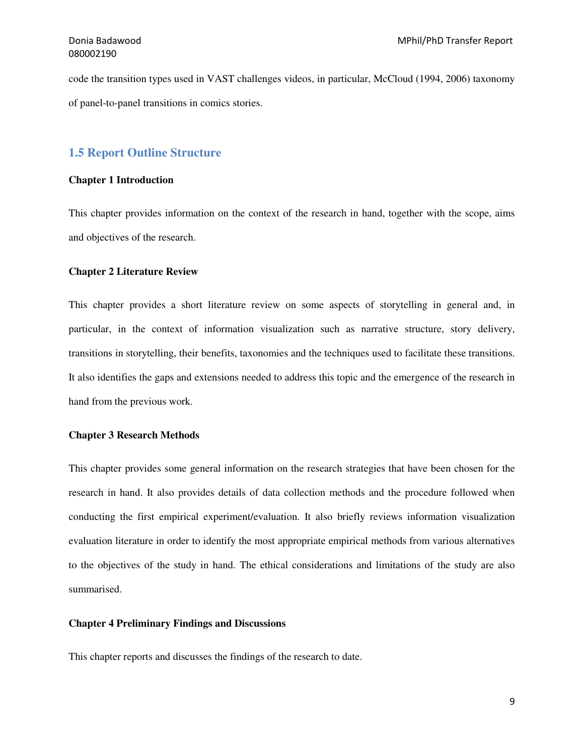code the transition types used in VAST challenges videos, in particular, McCloud (1994, 2006) taxonomy of panel-to-panel transitions in comics stories.

## **1.5 Report Outline Structure**

### **Chapter 1 Introduction**

This chapter provides information on the context of the research in hand, together with the scope, aims and objectives of the research.

#### **Chapter 2 Literature Review**

This chapter provides a short literature review on some aspects of storytelling in general and, in particular, in the context of information visualization such as narrative structure, story delivery, transitions in storytelling, their benefits, taxonomies and the techniques used to facilitate these transitions. It also identifies the gaps and extensions needed to address this topic and the emergence of the research in hand from the previous work.

### **Chapter 3 Research Methods**

This chapter provides some general information on the research strategies that have been chosen for the research in hand. It also provides details of data collection methods and the procedure followed when conducting the first empirical experiment/evaluation. It also briefly reviews information visualization evaluation literature in order to identify the most appropriate empirical methods from various alternatives to the objectives of the study in hand. The ethical considerations and limitations of the study are also summarised.

#### **Chapter 4 Preliminary Findings and Discussions**

This chapter reports and discusses the findings of the research to date.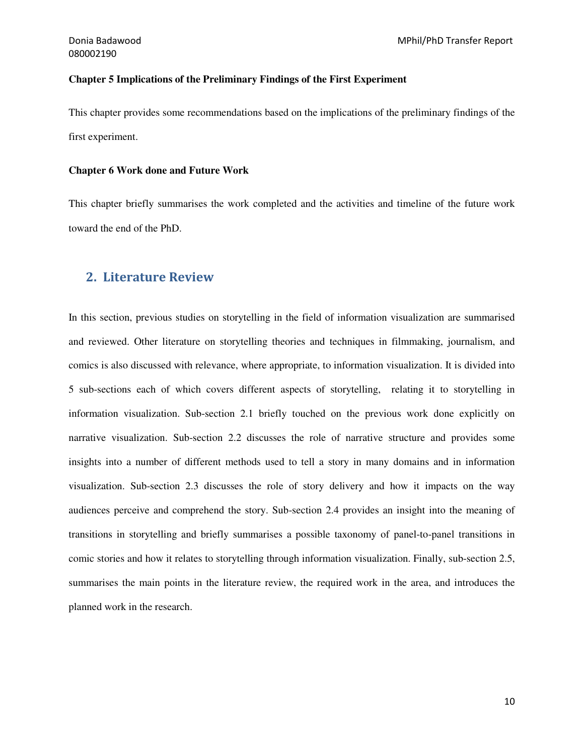#### **Chapter 5 Implications of the Preliminary Findings of the First Experiment**

This chapter provides some recommendations based on the implications of the preliminary findings of the first experiment.

#### **Chapter 6 Work done and Future Work**

This chapter briefly summarises the work completed and the activities and timeline of the future work toward the end of the PhD.

## 2. Literature Review

In this section, previous studies on storytelling in the field of information visualization are summarised and reviewed. Other literature on storytelling theories and techniques in filmmaking, journalism, and comics is also discussed with relevance, where appropriate, to information visualization. It is divided into 5 sub-sections each of which covers different aspects of storytelling, relating it to storytelling in information visualization. Sub-section 2.1 briefly touched on the previous work done explicitly on narrative visualization. Sub-section 2.2 discusses the role of narrative structure and provides some insights into a number of different methods used to tell a story in many domains and in information visualization. Sub-section 2.3 discusses the role of story delivery and how it impacts on the way audiences perceive and comprehend the story. Sub-section 2.4 provides an insight into the meaning of transitions in storytelling and briefly summarises a possible taxonomy of panel-to-panel transitions in comic stories and how it relates to storytelling through information visualization. Finally, sub-section 2.5, summarises the main points in the literature review, the required work in the area, and introduces the planned work in the research.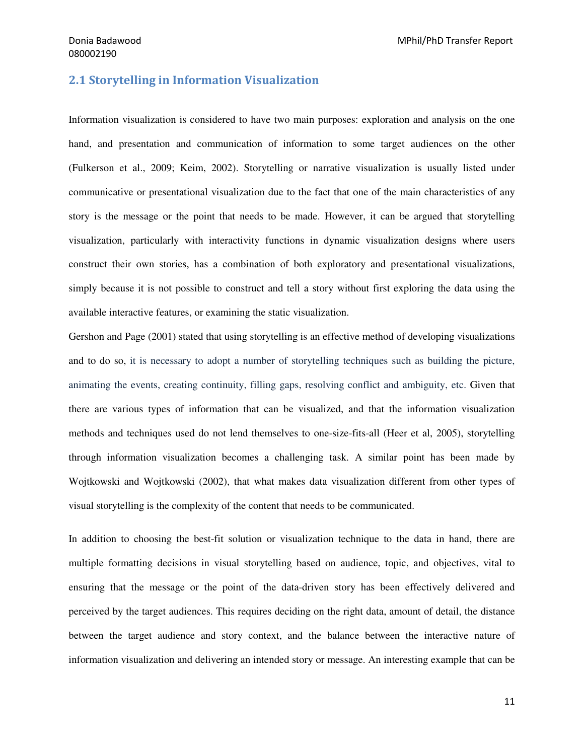## 2.1 Storytelling in Information Visualization

Information visualization is considered to have two main purposes: exploration and analysis on the one hand, and presentation and communication of information to some target audiences on the other (Fulkerson et al., 2009; Keim, 2002). Storytelling or narrative visualization is usually listed under communicative or presentational visualization due to the fact that one of the main characteristics of any story is the message or the point that needs to be made. However, it can be argued that storytelling visualization, particularly with interactivity functions in dynamic visualization designs where users construct their own stories, has a combination of both exploratory and presentational visualizations, simply because it is not possible to construct and tell a story without first exploring the data using the available interactive features, or examining the static visualization.

Gershon and Page (2001) stated that using storytelling is an effective method of developing visualizations and to do so, it is necessary to adopt a number of storytelling techniques such as building the picture, animating the events, creating continuity, filling gaps, resolving conflict and ambiguity, etc. Given that there are various types of information that can be visualized, and that the information visualization methods and techniques used do not lend themselves to one-size-fits-all (Heer et al, 2005), storytelling through information visualization becomes a challenging task. A similar point has been made by Wojtkowski and Wojtkowski (2002), that what makes data visualization different from other types of visual storytelling is the complexity of the content that needs to be communicated.

In addition to choosing the best-fit solution or visualization technique to the data in hand, there are multiple formatting decisions in visual storytelling based on audience, topic, and objectives, vital to ensuring that the message or the point of the data-driven story has been effectively delivered and perceived by the target audiences. This requires deciding on the right data, amount of detail, the distance between the target audience and story context, and the balance between the interactive nature of information visualization and delivering an intended story or message. An interesting example that can be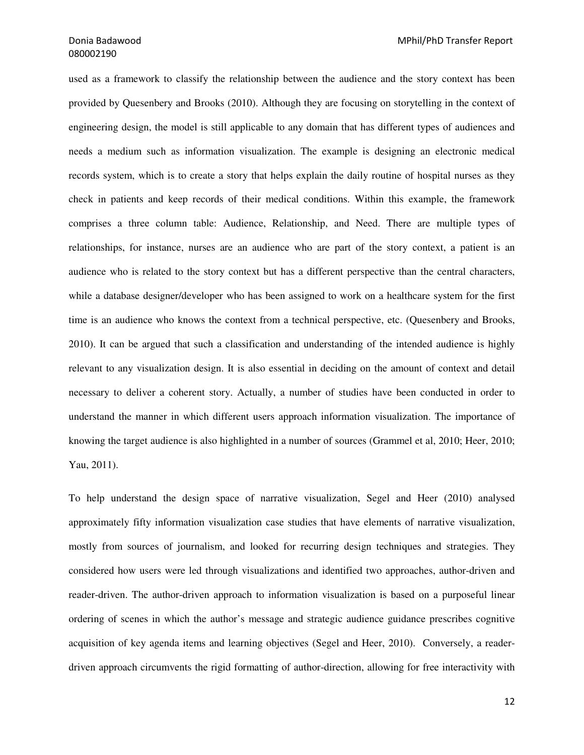used as a framework to classify the relationship between the audience and the story context has been provided by Quesenbery and Brooks (2010). Although they are focusing on storytelling in the context of engineering design, the model is still applicable to any domain that has different types of audiences and needs a medium such as information visualization. The example is designing an electronic medical records system, which is to create a story that helps explain the daily routine of hospital nurses as they check in patients and keep records of their medical conditions. Within this example, the framework comprises a three column table: Audience, Relationship, and Need. There are multiple types of relationships, for instance, nurses are an audience who are part of the story context, a patient is an audience who is related to the story context but has a different perspective than the central characters, while a database designer/developer who has been assigned to work on a healthcare system for the first time is an audience who knows the context from a technical perspective, etc. (Quesenbery and Brooks, 2010). It can be argued that such a classification and understanding of the intended audience is highly relevant to any visualization design. It is also essential in deciding on the amount of context and detail necessary to deliver a coherent story. Actually, a number of studies have been conducted in order to understand the manner in which different users approach information visualization. The importance of knowing the target audience is also highlighted in a number of sources (Grammel et al, 2010; Heer, 2010; Yau, 2011).

To help understand the design space of narrative visualization, Segel and Heer (2010) analysed approximately fifty information visualization case studies that have elements of narrative visualization, mostly from sources of journalism, and looked for recurring design techniques and strategies. They considered how users were led through visualizations and identified two approaches, author-driven and reader-driven. The author-driven approach to information visualization is based on a purposeful linear ordering of scenes in which the author's message and strategic audience guidance prescribes cognitive acquisition of key agenda items and learning objectives (Segel and Heer, 2010). Conversely, a readerdriven approach circumvents the rigid formatting of author-direction, allowing for free interactivity with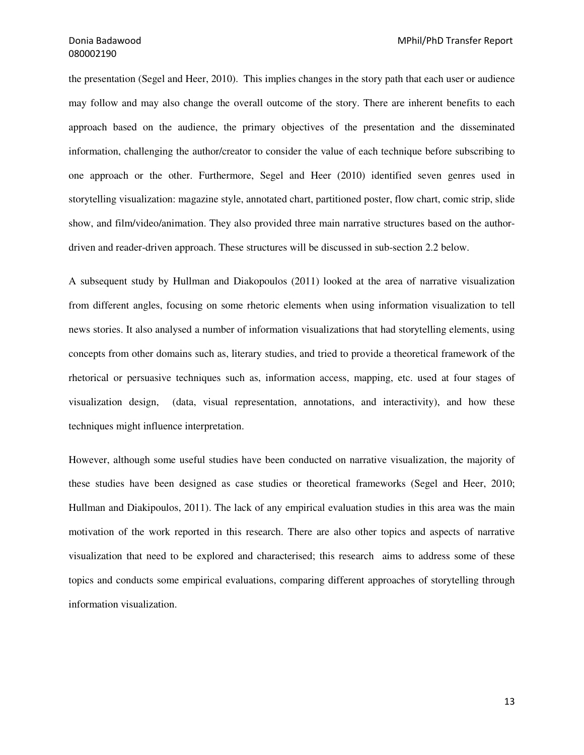the presentation (Segel and Heer, 2010). This implies changes in the story path that each user or audience may follow and may also change the overall outcome of the story. There are inherent benefits to each approach based on the audience, the primary objectives of the presentation and the disseminated information, challenging the author/creator to consider the value of each technique before subscribing to one approach or the other. Furthermore, Segel and Heer (2010) identified seven genres used in storytelling visualization: magazine style, annotated chart, partitioned poster, flow chart, comic strip, slide show, and film/video/animation. They also provided three main narrative structures based on the authordriven and reader-driven approach. These structures will be discussed in sub-section 2.2 below.

A subsequent study by Hullman and Diakopoulos (2011) looked at the area of narrative visualization from different angles, focusing on some rhetoric elements when using information visualization to tell news stories. It also analysed a number of information visualizations that had storytelling elements, using concepts from other domains such as, literary studies, and tried to provide a theoretical framework of the rhetorical or persuasive techniques such as, information access, mapping, etc. used at four stages of visualization design, (data, visual representation, annotations, and interactivity), and how these techniques might influence interpretation.

However, although some useful studies have been conducted on narrative visualization, the majority of these studies have been designed as case studies or theoretical frameworks (Segel and Heer, 2010; Hullman and Diakipoulos, 2011). The lack of any empirical evaluation studies in this area was the main motivation of the work reported in this research. There are also other topics and aspects of narrative visualization that need to be explored and characterised; this research aims to address some of these topics and conducts some empirical evaluations, comparing different approaches of storytelling through information visualization.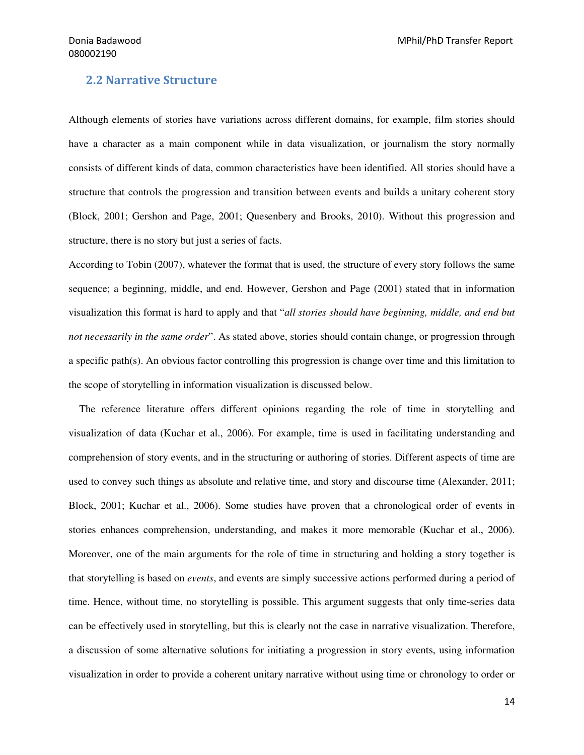## 2.2 Narrative Structure

Although elements of stories have variations across different domains, for example, film stories should have a character as a main component while in data visualization, or journalism the story normally consists of different kinds of data, common characteristics have been identified. All stories should have a structure that controls the progression and transition between events and builds a unitary coherent story (Block, 2001; Gershon and Page, 2001; Quesenbery and Brooks, 2010). Without this progression and structure, there is no story but just a series of facts.

According to Tobin (2007), whatever the format that is used, the structure of every story follows the same sequence; a beginning, middle, and end. However, Gershon and Page (2001) stated that in information visualization this format is hard to apply and that "*all stories should have beginning, middle, and end but not necessarily in the same order*". As stated above, stories should contain change, or progression through a specific path(s). An obvious factor controlling this progression is change over time and this limitation to the scope of storytelling in information visualization is discussed below.

 The reference literature offers different opinions regarding the role of time in storytelling and visualization of data (Kuchar et al., 2006). For example, time is used in facilitating understanding and comprehension of story events, and in the structuring or authoring of stories. Different aspects of time are used to convey such things as absolute and relative time, and story and discourse time (Alexander, 2011; Block, 2001; Kuchar et al., 2006). Some studies have proven that a chronological order of events in stories enhances comprehension, understanding, and makes it more memorable (Kuchar et al., 2006). Moreover, one of the main arguments for the role of time in structuring and holding a story together is that storytelling is based on *events*, and events are simply successive actions performed during a period of time. Hence, without time, no storytelling is possible. This argument suggests that only time-series data can be effectively used in storytelling, but this is clearly not the case in narrative visualization. Therefore, a discussion of some alternative solutions for initiating a progression in story events, using information visualization in order to provide a coherent unitary narrative without using time or chronology to order or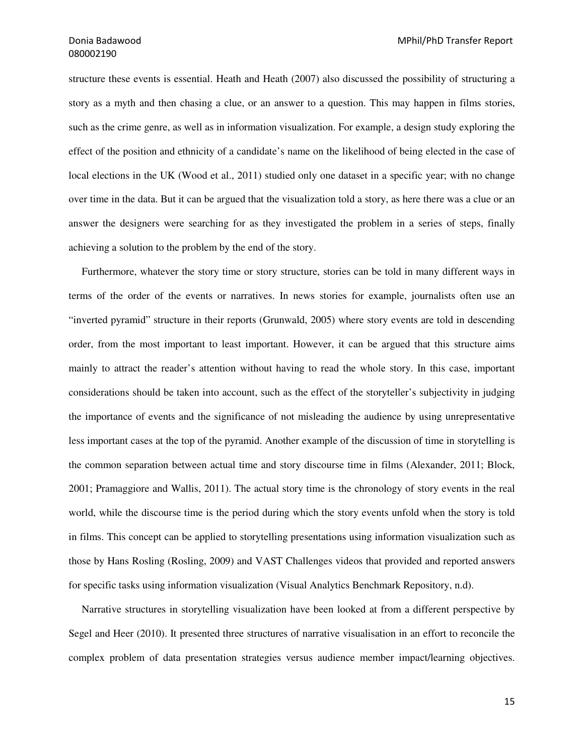structure these events is essential. Heath and Heath (2007) also discussed the possibility of structuring a story as a myth and then chasing a clue, or an answer to a question. This may happen in films stories, such as the crime genre, as well as in information visualization. For example, a design study exploring the effect of the position and ethnicity of a candidate's name on the likelihood of being elected in the case of local elections in the UK (Wood et al., 2011) studied only one dataset in a specific year; with no change over time in the data. But it can be argued that the visualization told a story, as here there was a clue or an answer the designers were searching for as they investigated the problem in a series of steps, finally achieving a solution to the problem by the end of the story.

 Furthermore, whatever the story time or story structure, stories can be told in many different ways in terms of the order of the events or narratives. In news stories for example, journalists often use an "inverted pyramid" structure in their reports (Grunwald, 2005) where story events are told in descending order, from the most important to least important. However, it can be argued that this structure aims mainly to attract the reader's attention without having to read the whole story. In this case, important considerations should be taken into account, such as the effect of the storyteller's subjectivity in judging the importance of events and the significance of not misleading the audience by using unrepresentative less important cases at the top of the pyramid. Another example of the discussion of time in storytelling is the common separation between actual time and story discourse time in films (Alexander, 2011; Block, 2001; Pramaggiore and Wallis, 2011). The actual story time is the chronology of story events in the real world, while the discourse time is the period during which the story events unfold when the story is told in films. This concept can be applied to storytelling presentations using information visualization such as those by Hans Rosling (Rosling, 2009) and VAST Challenges videos that provided and reported answers for specific tasks using information visualization (Visual Analytics Benchmark Repository, n.d).

 Narrative structures in storytelling visualization have been looked at from a different perspective by Segel and Heer (2010). It presented three structures of narrative visualisation in an effort to reconcile the complex problem of data presentation strategies versus audience member impact/learning objectives.

15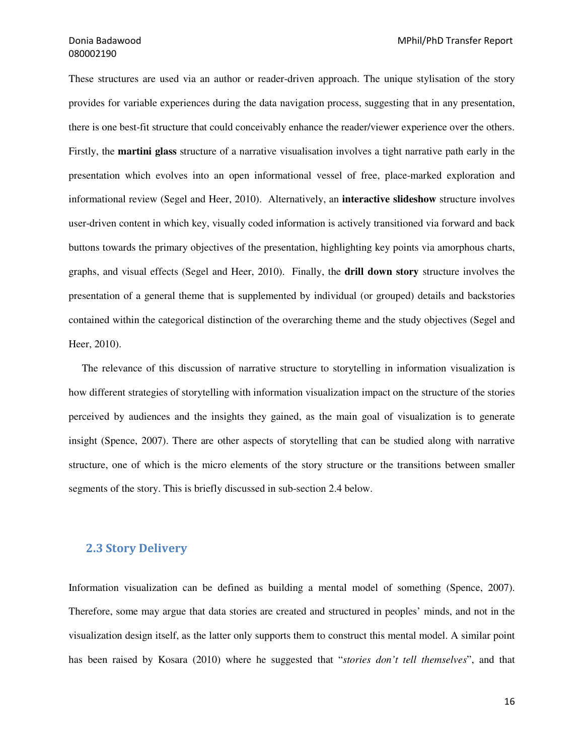These structures are used via an author or reader-driven approach. The unique stylisation of the story provides for variable experiences during the data navigation process, suggesting that in any presentation, there is one best-fit structure that could conceivably enhance the reader/viewer experience over the others. Firstly, the **martini glass** structure of a narrative visualisation involves a tight narrative path early in the presentation which evolves into an open informational vessel of free, place-marked exploration and informational review (Segel and Heer, 2010). Alternatively, an **interactive slideshow** structure involves user-driven content in which key, visually coded information is actively transitioned via forward and back buttons towards the primary objectives of the presentation, highlighting key points via amorphous charts, graphs, and visual effects (Segel and Heer, 2010). Finally, the **drill down story** structure involves the presentation of a general theme that is supplemented by individual (or grouped) details and backstories contained within the categorical distinction of the overarching theme and the study objectives (Segel and Heer, 2010).

 The relevance of this discussion of narrative structure to storytelling in information visualization is how different strategies of storytelling with information visualization impact on the structure of the stories perceived by audiences and the insights they gained, as the main goal of visualization is to generate insight (Spence, 2007). There are other aspects of storytelling that can be studied along with narrative structure, one of which is the micro elements of the story structure or the transitions between smaller segments of the story. This is briefly discussed in sub-section 2.4 below.

## 2.3 Story Delivery

Information visualization can be defined as building a mental model of something (Spence, 2007). Therefore, some may argue that data stories are created and structured in peoples' minds, and not in the visualization design itself, as the latter only supports them to construct this mental model. A similar point has been raised by Kosara (2010) where he suggested that "*stories don't tell themselves*", and that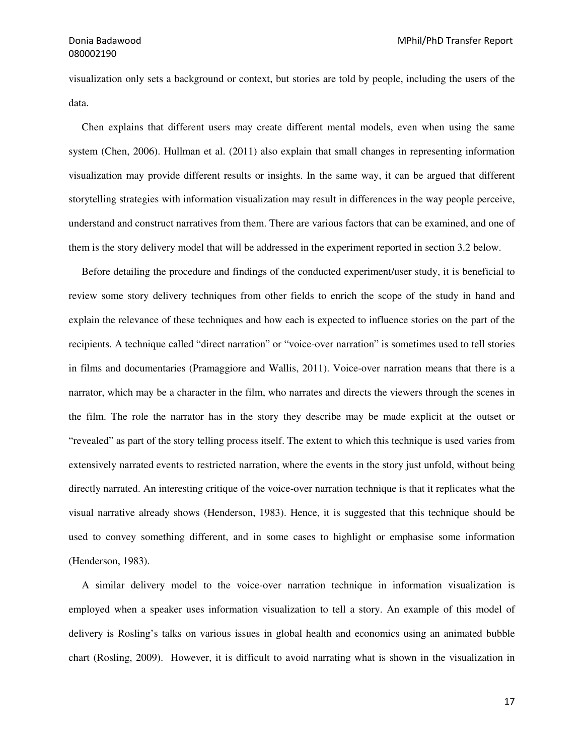visualization only sets a background or context, but stories are told by people, including the users of the data.

 Chen explains that different users may create different mental models, even when using the same system (Chen, 2006). Hullman et al. (2011) also explain that small changes in representing information visualization may provide different results or insights. In the same way, it can be argued that different storytelling strategies with information visualization may result in differences in the way people perceive, understand and construct narratives from them. There are various factors that can be examined, and one of them is the story delivery model that will be addressed in the experiment reported in section 3.2 below.

 Before detailing the procedure and findings of the conducted experiment/user study, it is beneficial to review some story delivery techniques from other fields to enrich the scope of the study in hand and explain the relevance of these techniques and how each is expected to influence stories on the part of the recipients. A technique called "direct narration" or "voice-over narration" is sometimes used to tell stories in films and documentaries (Pramaggiore and Wallis, 2011). Voice-over narration means that there is a narrator, which may be a character in the film, who narrates and directs the viewers through the scenes in the film. The role the narrator has in the story they describe may be made explicit at the outset or "revealed" as part of the story telling process itself. The extent to which this technique is used varies from extensively narrated events to restricted narration, where the events in the story just unfold, without being directly narrated. An interesting critique of the voice-over narration technique is that it replicates what the visual narrative already shows (Henderson, 1983). Hence, it is suggested that this technique should be used to convey something different, and in some cases to highlight or emphasise some information (Henderson, 1983).

 A similar delivery model to the voice-over narration technique in information visualization is employed when a speaker uses information visualization to tell a story. An example of this model of delivery is Rosling's talks on various issues in global health and economics using an animated bubble chart (Rosling, 2009). However, it is difficult to avoid narrating what is shown in the visualization in

17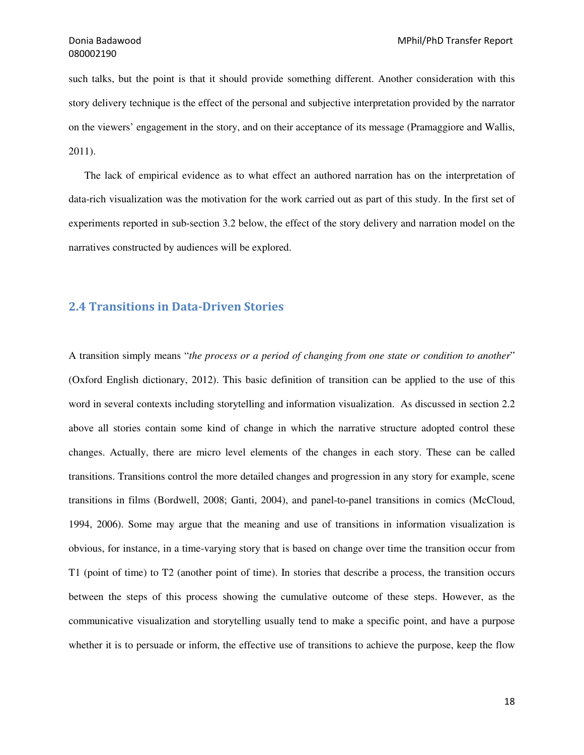such talks, but the point is that it should provide something different. Another consideration with this story delivery technique is the effect of the personal and subjective interpretation provided by the narrator on the viewers' engagement in the story, and on their acceptance of its message (Pramaggiore and Wallis, 2011).

 The lack of empirical evidence as to what effect an authored narration has on the interpretation of data-rich visualization was the motivation for the work carried out as part of this study. In the first set of experiments reported in sub-section 3.2 below, the effect of the story delivery and narration model on the narratives constructed by audiences will be explored.

## 2.4 Transitions in Data-Driven Stories

A transition simply means "*the process or a period of changing from one state or condition to another*" (Oxford English dictionary, 2012). This basic definition of transition can be applied to the use of this word in several contexts including storytelling and information visualization. As discussed in section 2.2 above all stories contain some kind of change in which the narrative structure adopted control these changes. Actually, there are micro level elements of the changes in each story. These can be called transitions. Transitions control the more detailed changes and progression in any story for example, scene transitions in films (Bordwell, 2008; Ganti, 2004), and panel-to-panel transitions in comics (McCloud, 1994, 2006). Some may argue that the meaning and use of transitions in information visualization is obvious, for instance, in a time-varying story that is based on change over time the transition occur from T1 (point of time) to T2 (another point of time). In stories that describe a process, the transition occurs between the steps of this process showing the cumulative outcome of these steps. However, as the communicative visualization and storytelling usually tend to make a specific point, and have a purpose whether it is to persuade or inform, the effective use of transitions to achieve the purpose, keep the flow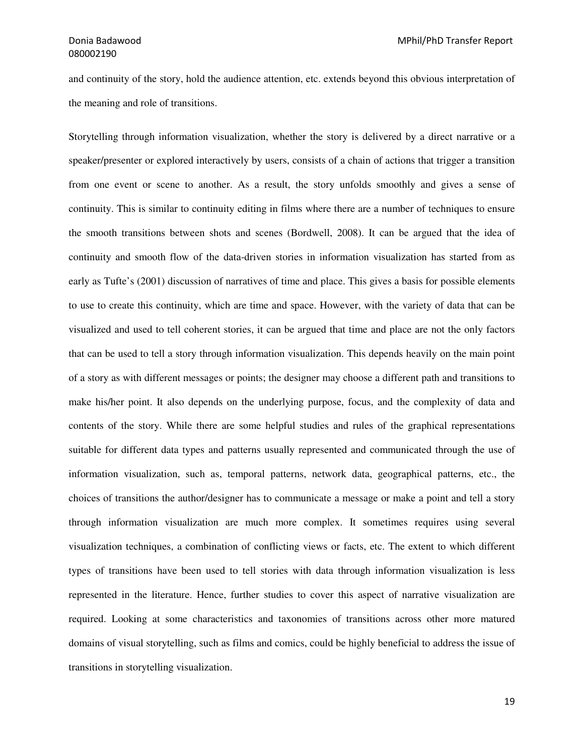and continuity of the story, hold the audience attention, etc. extends beyond this obvious interpretation of the meaning and role of transitions.

Storytelling through information visualization, whether the story is delivered by a direct narrative or a speaker/presenter or explored interactively by users, consists of a chain of actions that trigger a transition from one event or scene to another. As a result, the story unfolds smoothly and gives a sense of continuity. This is similar to continuity editing in films where there are a number of techniques to ensure the smooth transitions between shots and scenes (Bordwell, 2008). It can be argued that the idea of continuity and smooth flow of the data-driven stories in information visualization has started from as early as Tufte's (2001) discussion of narratives of time and place. This gives a basis for possible elements to use to create this continuity, which are time and space. However, with the variety of data that can be visualized and used to tell coherent stories, it can be argued that time and place are not the only factors that can be used to tell a story through information visualization. This depends heavily on the main point of a story as with different messages or points; the designer may choose a different path and transitions to make his/her point. It also depends on the underlying purpose, focus, and the complexity of data and contents of the story. While there are some helpful studies and rules of the graphical representations suitable for different data types and patterns usually represented and communicated through the use of information visualization, such as, temporal patterns, network data, geographical patterns, etc., the choices of transitions the author/designer has to communicate a message or make a point and tell a story through information visualization are much more complex. It sometimes requires using several visualization techniques, a combination of conflicting views or facts, etc. The extent to which different types of transitions have been used to tell stories with data through information visualization is less represented in the literature. Hence, further studies to cover this aspect of narrative visualization are required. Looking at some characteristics and taxonomies of transitions across other more matured domains of visual storytelling, such as films and comics, could be highly beneficial to address the issue of transitions in storytelling visualization.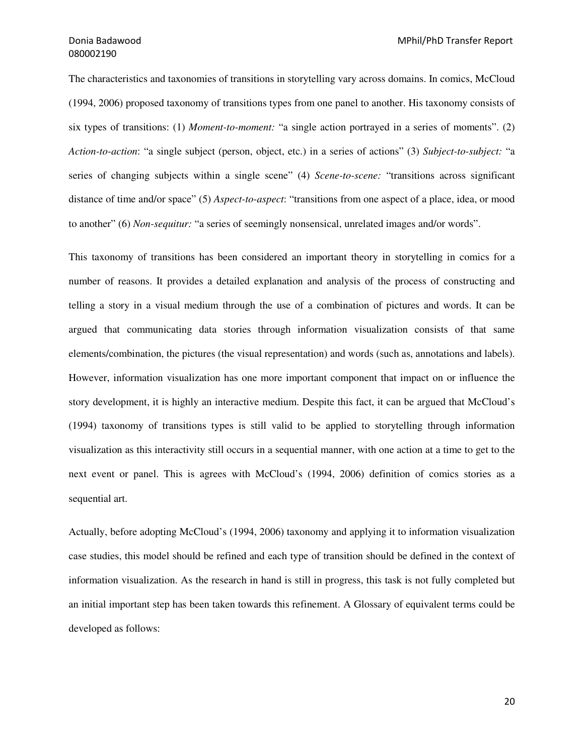The characteristics and taxonomies of transitions in storytelling vary across domains. In comics, McCloud (1994, 2006) proposed taxonomy of transitions types from one panel to another. His taxonomy consists of six types of transitions: (1) *Moment-to-moment:* "a single action portrayed in a series of moments". (2) *Action-to-action*: "a single subject (person, object, etc.) in a series of actions" (3) *Subject-to-subject:* "a series of changing subjects within a single scene" (4) *Scene-to-scene:* "transitions across significant distance of time and/or space" (5) *Aspect-to-aspect*: "transitions from one aspect of a place, idea, or mood to another" (6) *Non-sequitur:* "a series of seemingly nonsensical, unrelated images and/or words".

This taxonomy of transitions has been considered an important theory in storytelling in comics for a number of reasons. It provides a detailed explanation and analysis of the process of constructing and telling a story in a visual medium through the use of a combination of pictures and words. It can be argued that communicating data stories through information visualization consists of that same elements/combination, the pictures (the visual representation) and words (such as, annotations and labels). However, information visualization has one more important component that impact on or influence the story development, it is highly an interactive medium. Despite this fact, it can be argued that McCloud's (1994) taxonomy of transitions types is still valid to be applied to storytelling through information visualization as this interactivity still occurs in a sequential manner, with one action at a time to get to the next event or panel. This is agrees with McCloud's (1994, 2006) definition of comics stories as a sequential art.

Actually, before adopting McCloud's (1994, 2006) taxonomy and applying it to information visualization case studies, this model should be refined and each type of transition should be defined in the context of information visualization. As the research in hand is still in progress, this task is not fully completed but an initial important step has been taken towards this refinement. A Glossary of equivalent terms could be developed as follows: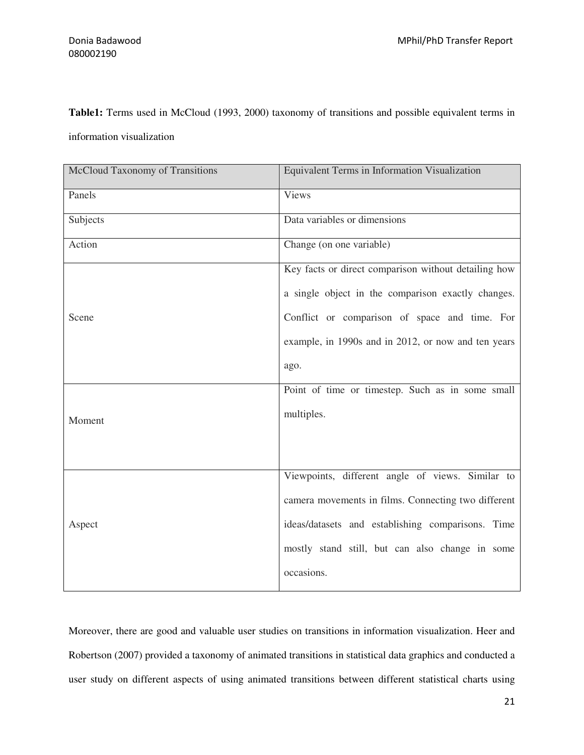**Table1:** Terms used in McCloud (1993, 2000) taxonomy of transitions and possible equivalent terms in

information visualization

| McCloud Taxonomy of Transitions | Equivalent Terms in Information Visualization        |
|---------------------------------|------------------------------------------------------|
| Panels                          | Views                                                |
| Subjects                        | Data variables or dimensions                         |
| Action                          | Change (on one variable)                             |
| Scene                           | Key facts or direct comparison without detailing how |
|                                 | a single object in the comparison exactly changes.   |
|                                 | Conflict or comparison of space and time. For        |
|                                 | example, in 1990s and in 2012, or now and ten years  |
|                                 | ago.                                                 |
|                                 | Point of time or timestep. Such as in some small     |
| Moment                          | multiples.                                           |
|                                 |                                                      |
|                                 |                                                      |
| Aspect                          | Viewpoints, different angle of views. Similar to     |
|                                 | camera movements in films. Connecting two different  |
|                                 | ideas/datasets and establishing comparisons. Time    |
|                                 | mostly stand still, but can also change in some      |
|                                 | occasions.                                           |

Moreover, there are good and valuable user studies on transitions in information visualization. Heer and Robertson (2007) provided a taxonomy of animated transitions in statistical data graphics and conducted a user study on different aspects of using animated transitions between different statistical charts using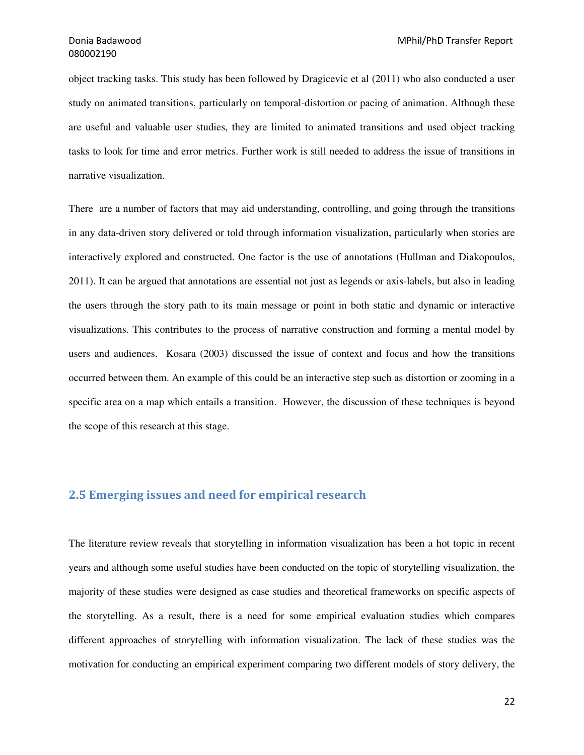object tracking tasks. This study has been followed by Dragicevic et al (2011) who also conducted a user study on animated transitions, particularly on temporal-distortion or pacing of animation. Although these are useful and valuable user studies, they are limited to animated transitions and used object tracking tasks to look for time and error metrics. Further work is still needed to address the issue of transitions in narrative visualization.

There are a number of factors that may aid understanding, controlling, and going through the transitions in any data-driven story delivered or told through information visualization, particularly when stories are interactively explored and constructed. One factor is the use of annotations (Hullman and Diakopoulos, 2011). It can be argued that annotations are essential not just as legends or axis-labels, but also in leading the users through the story path to its main message or point in both static and dynamic or interactive visualizations. This contributes to the process of narrative construction and forming a mental model by users and audiences. Kosara (2003) discussed the issue of context and focus and how the transitions occurred between them. An example of this could be an interactive step such as distortion or zooming in a specific area on a map which entails a transition. However, the discussion of these techniques is beyond the scope of this research at this stage.

## 2.5 Emerging issues and need for empirical research

The literature review reveals that storytelling in information visualization has been a hot topic in recent years and although some useful studies have been conducted on the topic of storytelling visualization, the majority of these studies were designed as case studies and theoretical frameworks on specific aspects of the storytelling. As a result, there is a need for some empirical evaluation studies which compares different approaches of storytelling with information visualization. The lack of these studies was the motivation for conducting an empirical experiment comparing two different models of story delivery, the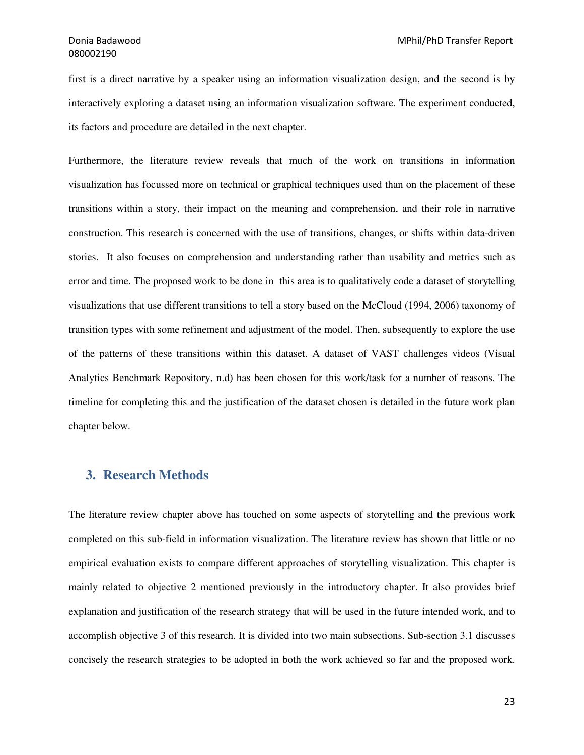first is a direct narrative by a speaker using an information visualization design, and the second is by interactively exploring a dataset using an information visualization software. The experiment conducted, its factors and procedure are detailed in the next chapter.

Furthermore, the literature review reveals that much of the work on transitions in information visualization has focussed more on technical or graphical techniques used than on the placement of these transitions within a story, their impact on the meaning and comprehension, and their role in narrative construction. This research is concerned with the use of transitions, changes, or shifts within data-driven stories. It also focuses on comprehension and understanding rather than usability and metrics such as error and time. The proposed work to be done in this area is to qualitatively code a dataset of storytelling visualizations that use different transitions to tell a story based on the McCloud (1994, 2006) taxonomy of transition types with some refinement and adjustment of the model. Then, subsequently to explore the use of the patterns of these transitions within this dataset. A dataset of VAST challenges videos (Visual Analytics Benchmark Repository, n.d) has been chosen for this work/task for a number of reasons. The timeline for completing this and the justification of the dataset chosen is detailed in the future work plan chapter below.

## **3. Research Methods**

The literature review chapter above has touched on some aspects of storytelling and the previous work completed on this sub-field in information visualization. The literature review has shown that little or no empirical evaluation exists to compare different approaches of storytelling visualization. This chapter is mainly related to objective 2 mentioned previously in the introductory chapter. It also provides brief explanation and justification of the research strategy that will be used in the future intended work, and to accomplish objective 3 of this research. It is divided into two main subsections. Sub-section 3.1 discusses concisely the research strategies to be adopted in both the work achieved so far and the proposed work.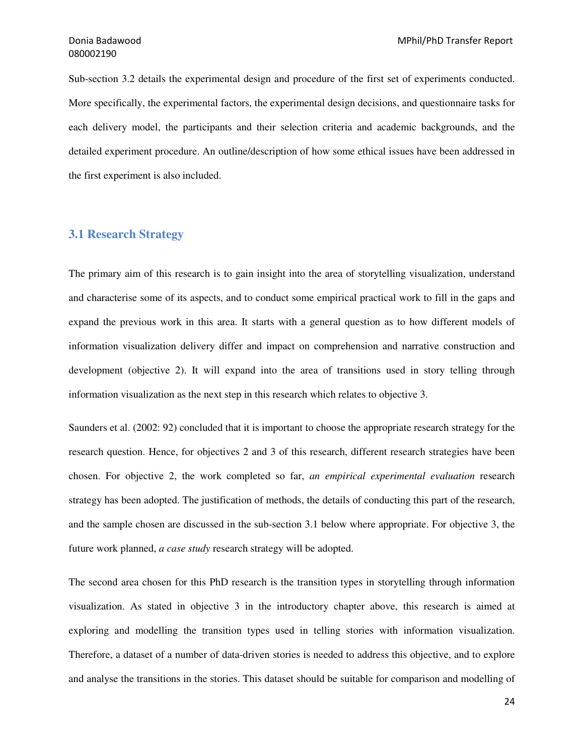Sub-section 3.2 details the experimental design and procedure of the first set of experiments conducted. More specifically, the experimental factors, the experimental design decisions, and questionnaire tasks for each delivery model, the participants and their selection criteria and academic backgrounds, and the detailed experiment procedure. An outline/description of how some ethical issues have been addressed in the first experiment is also included.

## **3.1 Research Strategy**

The primary aim of this research is to gain insight into the area of storytelling visualization, understand and characterise some of its aspects, and to conduct some empirical practical work to fill in the gaps and expand the previous work in this area. It starts with a general question as to how different models of information visualization delivery differ and impact on comprehension and narrative construction and development (objective 2). It will expand into the area of transitions used in story telling through information visualization as the next step in this research which relates to objective 3.

Saunders et al. (2002: 92) concluded that it is important to choose the appropriate research strategy for the research question. Hence, for objectives 2 and 3 of this research, different research strategies have been chosen. For objective 2, the work completed so far, *an empirical experimental evaluation* research strategy has been adopted. The justification of methods, the details of conducting this part of the research, and the sample chosen are discussed in the sub-section 3.1 below where appropriate. For objective 3, the future work planned, *a case study* research strategy will be adopted.

The second area chosen for this PhD research is the transition types in storytelling through information visualization. As stated in objective 3 in the introductory chapter above, this research is aimed at exploring and modelling the transition types used in telling stories with information visualization. Therefore, a dataset of a number of data-driven stories is needed to address this objective, and to explore and analyse the transitions in the stories. This dataset should be suitable for comparison and modelling of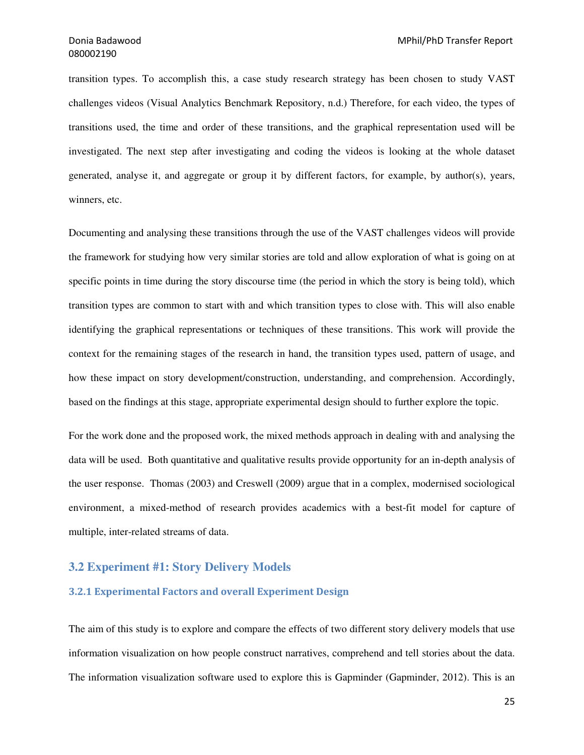transition types. To accomplish this, a case study research strategy has been chosen to study VAST challenges videos (Visual Analytics Benchmark Repository, n.d.) Therefore, for each video, the types of transitions used, the time and order of these transitions, and the graphical representation used will be investigated. The next step after investigating and coding the videos is looking at the whole dataset generated, analyse it, and aggregate or group it by different factors, for example, by author(s), years, winners, etc.

Documenting and analysing these transitions through the use of the VAST challenges videos will provide the framework for studying how very similar stories are told and allow exploration of what is going on at specific points in time during the story discourse time (the period in which the story is being told), which transition types are common to start with and which transition types to close with. This will also enable identifying the graphical representations or techniques of these transitions. This work will provide the context for the remaining stages of the research in hand, the transition types used, pattern of usage, and how these impact on story development/construction, understanding, and comprehension. Accordingly, based on the findings at this stage, appropriate experimental design should to further explore the topic.

For the work done and the proposed work, the mixed methods approach in dealing with and analysing the data will be used. Both quantitative and qualitative results provide opportunity for an in-depth analysis of the user response. Thomas (2003) and Creswell (2009) argue that in a complex, modernised sociological environment, a mixed-method of research provides academics with a best-fit model for capture of multiple, inter-related streams of data.

## **3.2 Experiment #1: Story Delivery Models**

## 3.2.1 Experimental Factors and overall Experiment Design

The aim of this study is to explore and compare the effects of two different story delivery models that use information visualization on how people construct narratives, comprehend and tell stories about the data. The information visualization software used to explore this is Gapminder (Gapminder, 2012). This is an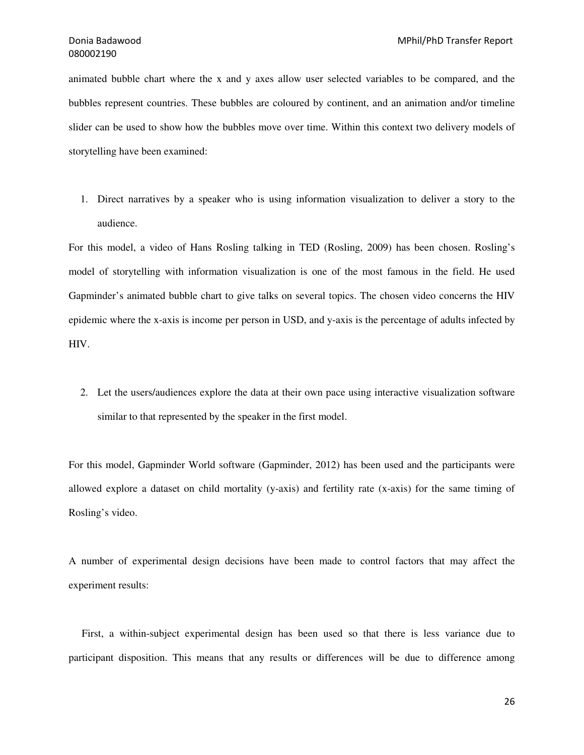animated bubble chart where the x and y axes allow user selected variables to be compared, and the bubbles represent countries. These bubbles are coloured by continent, and an animation and/or timeline slider can be used to show how the bubbles move over time. Within this context two delivery models of storytelling have been examined:

1. Direct narratives by a speaker who is using information visualization to deliver a story to the audience.

For this model, a video of Hans Rosling talking in TED (Rosling, 2009) has been chosen. Rosling's model of storytelling with information visualization is one of the most famous in the field. He used Gapminder's animated bubble chart to give talks on several topics. The chosen video concerns the HIV epidemic where the x-axis is income per person in USD, and y-axis is the percentage of adults infected by HIV.

2. Let the users/audiences explore the data at their own pace using interactive visualization software similar to that represented by the speaker in the first model.

For this model, Gapminder World software (Gapminder, 2012) has been used and the participants were allowed explore a dataset on child mortality (y-axis) and fertility rate (x-axis) for the same timing of Rosling's video.

A number of experimental design decisions have been made to control factors that may affect the experiment results:

 First, a within-subject experimental design has been used so that there is less variance due to participant disposition. This means that any results or differences will be due to difference among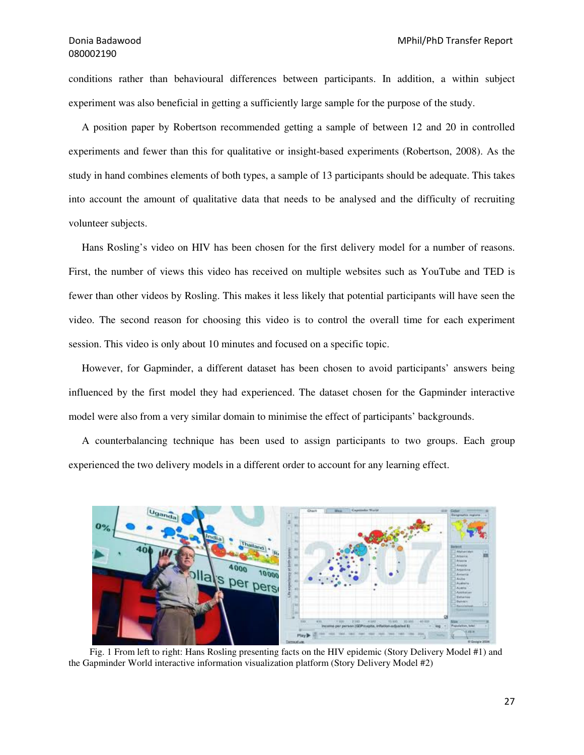conditions rather than behavioural differences between participants. In addition, a within subject experiment was also beneficial in getting a sufficiently large sample for the purpose of the study.

 A position paper by Robertson recommended getting a sample of between 12 and 20 in controlled experiments and fewer than this for qualitative or insight-based experiments (Robertson, 2008). As the study in hand combines elements of both types, a sample of 13 participants should be adequate. This takes into account the amount of qualitative data that needs to be analysed and the difficulty of recruiting volunteer subjects.

 Hans Rosling's video on HIV has been chosen for the first delivery model for a number of reasons. First, the number of views this video has received on multiple websites such as YouTube and TED is fewer than other videos by Rosling. This makes it less likely that potential participants will have seen the video. The second reason for choosing this video is to control the overall time for each experiment session. This video is only about 10 minutes and focused on a specific topic.

 However, for Gapminder, a different dataset has been chosen to avoid participants' answers being influenced by the first model they had experienced. The dataset chosen for the Gapminder interactive model were also from a very similar domain to minimise the effect of participants' backgrounds.

 A counterbalancing technique has been used to assign participants to two groups. Each group experienced the two delivery models in a different order to account for any learning effect.



 Fig. 1 From left to right: Hans Rosling presenting facts on the HIV epidemic (Story Delivery Model #1) and the Gapminder World interactive information visualization platform (Story Delivery Model #2)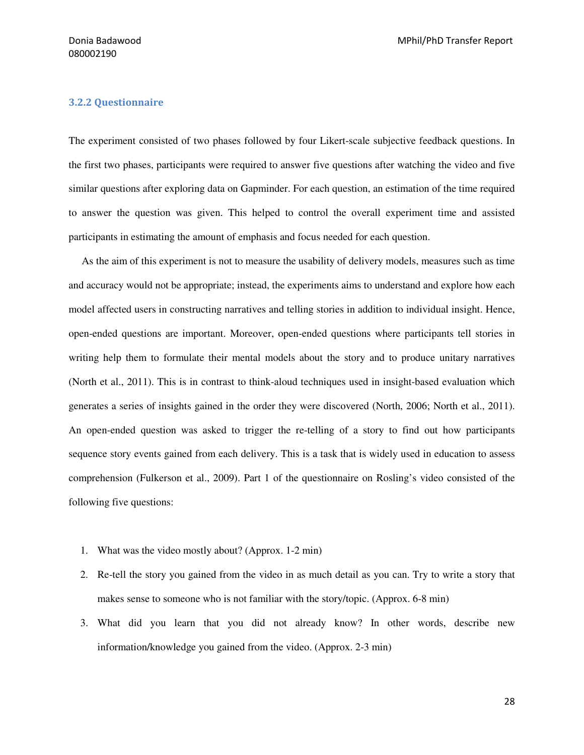### 3.2.2 Questionnaire

The experiment consisted of two phases followed by four Likert-scale subjective feedback questions. In the first two phases, participants were required to answer five questions after watching the video and five similar questions after exploring data on Gapminder. For each question, an estimation of the time required to answer the question was given. This helped to control the overall experiment time and assisted participants in estimating the amount of emphasis and focus needed for each question.

 As the aim of this experiment is not to measure the usability of delivery models, measures such as time and accuracy would not be appropriate; instead, the experiments aims to understand and explore how each model affected users in constructing narratives and telling stories in addition to individual insight. Hence, open-ended questions are important. Moreover, open-ended questions where participants tell stories in writing help them to formulate their mental models about the story and to produce unitary narratives (North et al., 2011). This is in contrast to think-aloud techniques used in insight-based evaluation which generates a series of insights gained in the order they were discovered (North, 2006; North et al., 2011). An open-ended question was asked to trigger the re-telling of a story to find out how participants sequence story events gained from each delivery. This is a task that is widely used in education to assess comprehension (Fulkerson et al., 2009). Part 1 of the questionnaire on Rosling's video consisted of the following five questions:

- 1. What was the video mostly about? (Approx. 1-2 min)
- 2. Re-tell the story you gained from the video in as much detail as you can. Try to write a story that makes sense to someone who is not familiar with the story/topic. (Approx. 6-8 min)
- 3. What did you learn that you did not already know? In other words, describe new information/knowledge you gained from the video. (Approx. 2-3 min)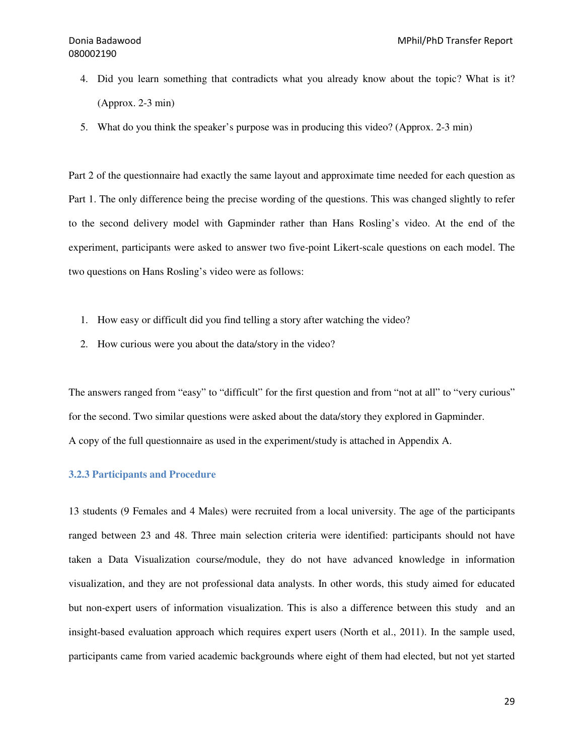- 4. Did you learn something that contradicts what you already know about the topic? What is it? (Approx. 2-3 min)
- 5. What do you think the speaker's purpose was in producing this video? (Approx. 2-3 min)

Part 2 of the questionnaire had exactly the same layout and approximate time needed for each question as Part 1. The only difference being the precise wording of the questions. This was changed slightly to refer to the second delivery model with Gapminder rather than Hans Rosling's video. At the end of the experiment, participants were asked to answer two five-point Likert-scale questions on each model. The two questions on Hans Rosling's video were as follows:

- 1. How easy or difficult did you find telling a story after watching the video?
- 2. How curious were you about the data/story in the video?

The answers ranged from "easy" to "difficult" for the first question and from "not at all" to "very curious" for the second. Two similar questions were asked about the data/story they explored in Gapminder. A copy of the full questionnaire as used in the experiment/study is attached in Appendix A.

## **3.2.3 Participants and Procedure**

13 students (9 Females and 4 Males) were recruited from a local university. The age of the participants ranged between 23 and 48. Three main selection criteria were identified: participants should not have taken a Data Visualization course/module, they do not have advanced knowledge in information visualization, and they are not professional data analysts. In other words, this study aimed for educated but non-expert users of information visualization. This is also a difference between this study and an insight-based evaluation approach which requires expert users (North et al., 2011). In the sample used, participants came from varied academic backgrounds where eight of them had elected, but not yet started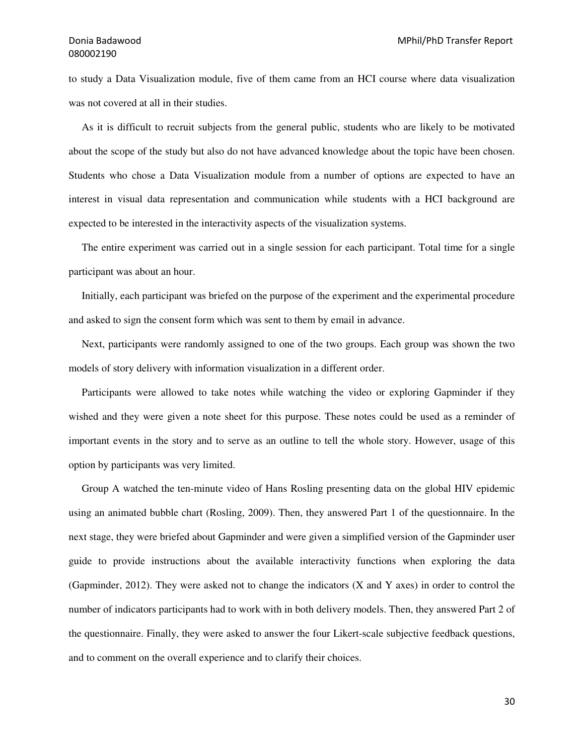## 080002190

to study a Data Visualization module, five of them came from an HCI course where data visualization was not covered at all in their studies.

 As it is difficult to recruit subjects from the general public, students who are likely to be motivated about the scope of the study but also do not have advanced knowledge about the topic have been chosen. Students who chose a Data Visualization module from a number of options are expected to have an interest in visual data representation and communication while students with a HCI background are expected to be interested in the interactivity aspects of the visualization systems.

 The entire experiment was carried out in a single session for each participant. Total time for a single participant was about an hour.

 Initially, each participant was briefed on the purpose of the experiment and the experimental procedure and asked to sign the consent form which was sent to them by email in advance.

 Next, participants were randomly assigned to one of the two groups. Each group was shown the two models of story delivery with information visualization in a different order.

 Participants were allowed to take notes while watching the video or exploring Gapminder if they wished and they were given a note sheet for this purpose. These notes could be used as a reminder of important events in the story and to serve as an outline to tell the whole story. However, usage of this option by participants was very limited.

 Group A watched the ten-minute video of Hans Rosling presenting data on the global HIV epidemic using an animated bubble chart (Rosling, 2009). Then, they answered Part 1 of the questionnaire. In the next stage, they were briefed about Gapminder and were given a simplified version of the Gapminder user guide to provide instructions about the available interactivity functions when exploring the data (Gapminder, 2012). They were asked not to change the indicators (X and Y axes) in order to control the number of indicators participants had to work with in both delivery models. Then, they answered Part 2 of the questionnaire. Finally, they were asked to answer the four Likert-scale subjective feedback questions, and to comment on the overall experience and to clarify their choices.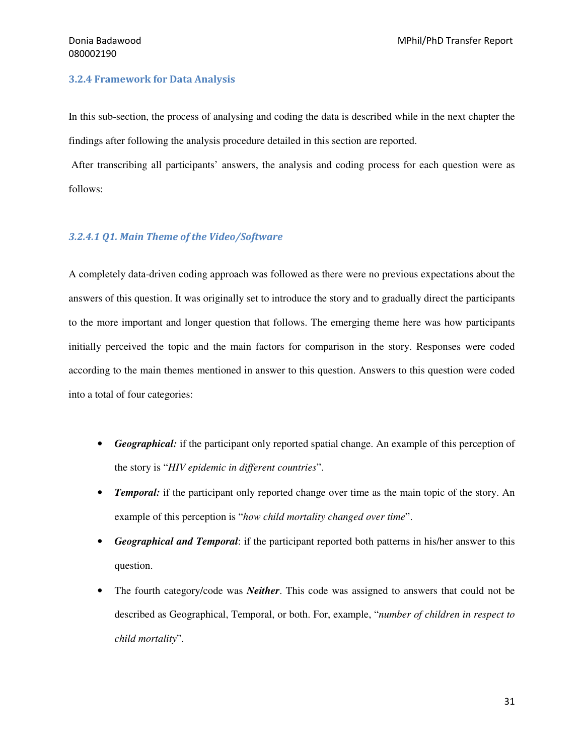### 3.2.4 Framework for Data Analysis

In this sub-section, the process of analysing and coding the data is described while in the next chapter the findings after following the analysis procedure detailed in this section are reported.

 After transcribing all participants' answers, the analysis and coding process for each question were as follows:

### 3.2.4.1 Q1. Main Theme of the Video/Software

A completely data-driven coding approach was followed as there were no previous expectations about the answers of this question. It was originally set to introduce the story and to gradually direct the participants to the more important and longer question that follows. The emerging theme here was how participants initially perceived the topic and the main factors for comparison in the story. Responses were coded according to the main themes mentioned in answer to this question. Answers to this question were coded into a total of four categories:

- *Geographical:* if the participant only reported spatial change. An example of this perception of the story is "*HIV epidemic in different countries*".
- *Temporal:* if the participant only reported change over time as the main topic of the story. An example of this perception is "*how child mortality changed over time*".
- *Geographical and Temporal*: if the participant reported both patterns in his/her answer to this question.
- The fourth category/code was *Neither*. This code was assigned to answers that could not be described as Geographical, Temporal, or both. For, example, "*number of children in respect to child mortality*".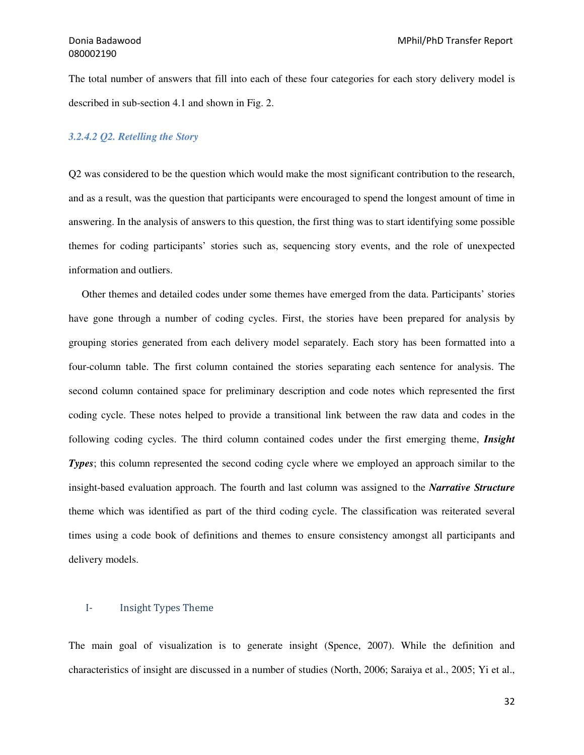The total number of answers that fill into each of these four categories for each story delivery model is described in sub-section 4.1 and shown in Fig. 2.

## *3.2.4.2 Q2. Retelling the Story*

Q2 was considered to be the question which would make the most significant contribution to the research, and as a result, was the question that participants were encouraged to spend the longest amount of time in answering. In the analysis of answers to this question, the first thing was to start identifying some possible themes for coding participants' stories such as, sequencing story events, and the role of unexpected information and outliers.

 Other themes and detailed codes under some themes have emerged from the data. Participants' stories have gone through a number of coding cycles. First, the stories have been prepared for analysis by grouping stories generated from each delivery model separately. Each story has been formatted into a four-column table. The first column contained the stories separating each sentence for analysis. The second column contained space for preliminary description and code notes which represented the first coding cycle. These notes helped to provide a transitional link between the raw data and codes in the following coding cycles. The third column contained codes under the first emerging theme, *Insight Types*; this column represented the second coding cycle where we employed an approach similar to the insight-based evaluation approach. The fourth and last column was assigned to the *Narrative Structure* theme which was identified as part of the third coding cycle. The classification was reiterated several times using a code book of definitions and themes to ensure consistency amongst all participants and delivery models.

#### I- Insight Types Theme

The main goal of visualization is to generate insight (Spence, 2007). While the definition and characteristics of insight are discussed in a number of studies (North, 2006; Saraiya et al., 2005; Yi et al.,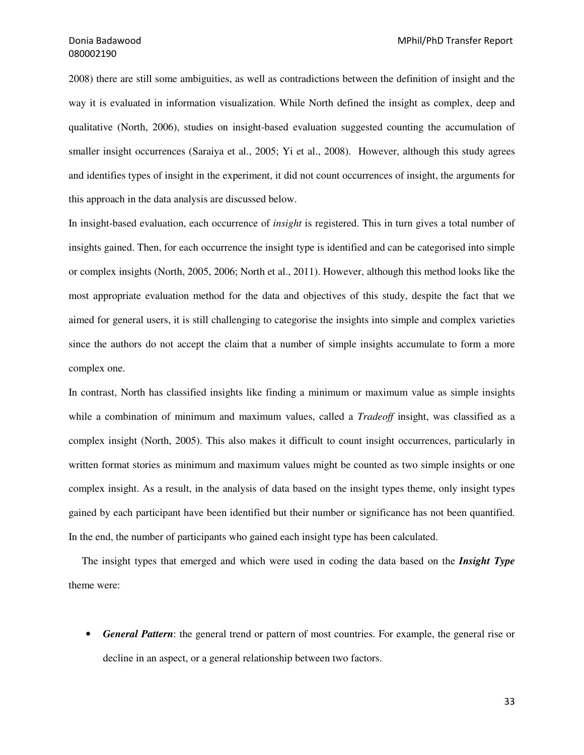2008) there are still some ambiguities, as well as contradictions between the definition of insight and the way it is evaluated in information visualization. While North defined the insight as complex, deep and qualitative (North, 2006), studies on insight-based evaluation suggested counting the accumulation of smaller insight occurrences (Saraiya et al., 2005; Yi et al., 2008). However, although this study agrees and identifies types of insight in the experiment, it did not count occurrences of insight, the arguments for this approach in the data analysis are discussed below.

In insight-based evaluation, each occurrence of *insight* is registered. This in turn gives a total number of insights gained. Then, for each occurrence the insight type is identified and can be categorised into simple or complex insights (North, 2005, 2006; North et al., 2011). However, although this method looks like the most appropriate evaluation method for the data and objectives of this study, despite the fact that we aimed for general users, it is still challenging to categorise the insights into simple and complex varieties since the authors do not accept the claim that a number of simple insights accumulate to form a more complex one.

In contrast, North has classified insights like finding a minimum or maximum value as simple insights while a combination of minimum and maximum values, called a *Tradeoff* insight, was classified as a complex insight (North, 2005). This also makes it difficult to count insight occurrences, particularly in written format stories as minimum and maximum values might be counted as two simple insights or one complex insight. As a result, in the analysis of data based on the insight types theme, only insight types gained by each participant have been identified but their number or significance has not been quantified. In the end, the number of participants who gained each insight type has been calculated.

 The insight types that emerged and which were used in coding the data based on the *Insight Type* theme were:

• *General Pattern*: the general trend or pattern of most countries. For example, the general rise or decline in an aspect, or a general relationship between two factors.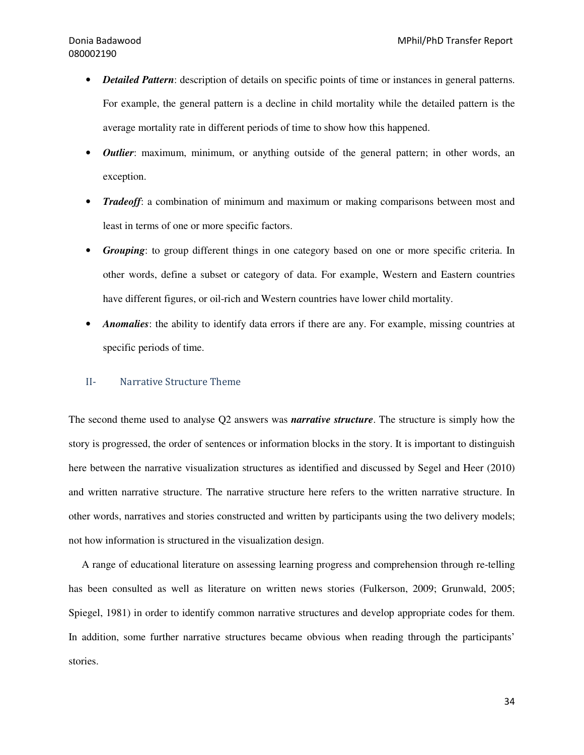- *Detailed Pattern*: description of details on specific points of time or instances in general patterns. For example, the general pattern is a decline in child mortality while the detailed pattern is the average mortality rate in different periods of time to show how this happened.
- *Outlier*: maximum, minimum, or anything outside of the general pattern; in other words, an exception.
- *Tradeoff*: a combination of minimum and maximum or making comparisons between most and least in terms of one or more specific factors.
- *Grouping*: to group different things in one category based on one or more specific criteria. In other words, define a subset or category of data. For example, Western and Eastern countries have different figures, or oil-rich and Western countries have lower child mortality.
- *Anomalies*: the ability to identify data errors if there are any. For example, missing countries at specific periods of time.

#### II- Narrative Structure Theme

The second theme used to analyse Q2 answers was *narrative structure*. The structure is simply how the story is progressed, the order of sentences or information blocks in the story. It is important to distinguish here between the narrative visualization structures as identified and discussed by Segel and Heer (2010) and written narrative structure. The narrative structure here refers to the written narrative structure. In other words, narratives and stories constructed and written by participants using the two delivery models; not how information is structured in the visualization design.

 A range of educational literature on assessing learning progress and comprehension through re-telling has been consulted as well as literature on written news stories (Fulkerson, 2009; Grunwald, 2005; Spiegel, 1981) in order to identify common narrative structures and develop appropriate codes for them. In addition, some further narrative structures became obvious when reading through the participants' stories.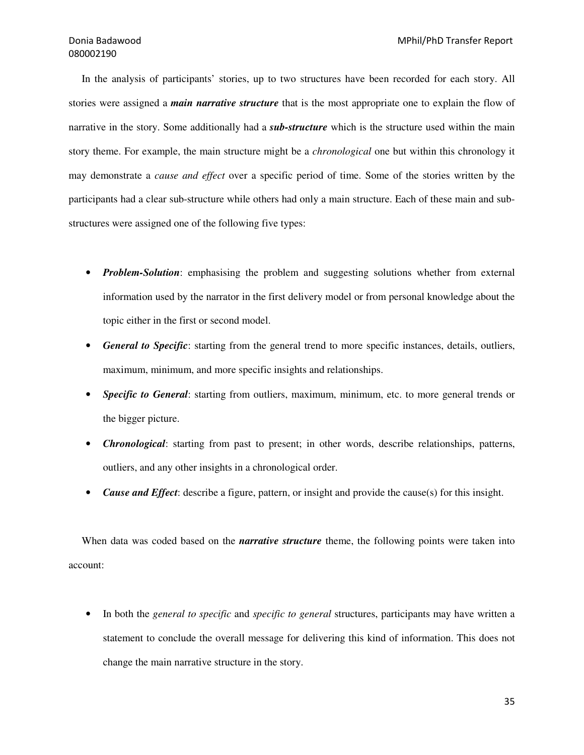In the analysis of participants' stories, up to two structures have been recorded for each story. All stories were assigned a *main narrative structure* that is the most appropriate one to explain the flow of narrative in the story. Some additionally had a *sub-structure* which is the structure used within the main story theme. For example, the main structure might be a *chronological* one but within this chronology it may demonstrate a *cause and effect* over a specific period of time. Some of the stories written by the participants had a clear sub-structure while others had only a main structure. Each of these main and substructures were assigned one of the following five types:

- *Problem-Solution*: emphasising the problem and suggesting solutions whether from external information used by the narrator in the first delivery model or from personal knowledge about the topic either in the first or second model.
- *General to Specific*: starting from the general trend to more specific instances, details, outliers, maximum, minimum, and more specific insights and relationships.
- *Specific to General*: starting from outliers, maximum, minimum, etc. to more general trends or the bigger picture.
- *Chronological*: starting from past to present; in other words, describe relationships, patterns, outliers, and any other insights in a chronological order.
- *Cause and Effect*: describe a figure, pattern, or insight and provide the cause(s) for this insight.

 When data was coded based on the *narrative structure* theme, the following points were taken into account:

• In both the *general to specific* and *specific to general* structures, participants may have written a statement to conclude the overall message for delivering this kind of information. This does not change the main narrative structure in the story.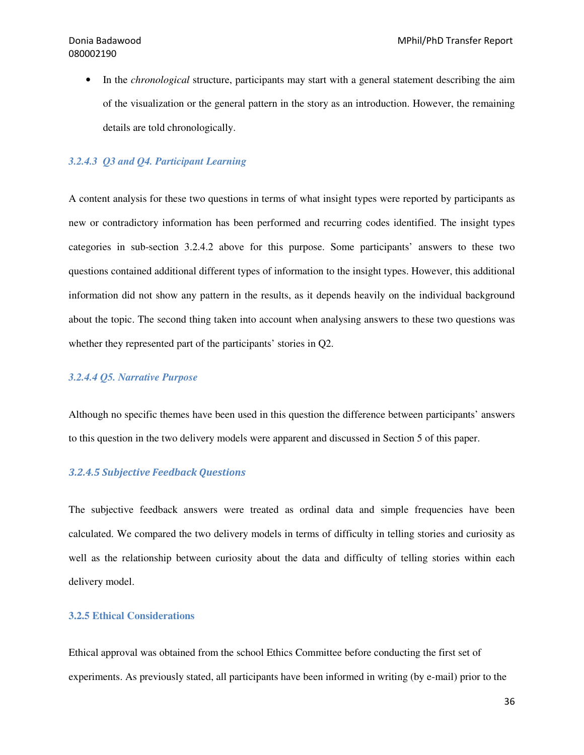• In the *chronological* structure, participants may start with a general statement describing the aim of the visualization or the general pattern in the story as an introduction. However, the remaining details are told chronologically.

#### *3.2.4.3 Q3 and Q4. Participant Learning*

A content analysis for these two questions in terms of what insight types were reported by participants as new or contradictory information has been performed and recurring codes identified. The insight types categories in sub-section 3.2.4.2 above for this purpose. Some participants' answers to these two questions contained additional different types of information to the insight types. However, this additional information did not show any pattern in the results, as it depends heavily on the individual background about the topic. The second thing taken into account when analysing answers to these two questions was whether they represented part of the participants' stories in Q2.

#### *3.2.4.4 Q5. Narrative Purpose*

Although no specific themes have been used in this question the difference between participants' answers to this question in the two delivery models were apparent and discussed in Section 5 of this paper.

#### 3.2.4.5 Subjective Feedback Questions

The subjective feedback answers were treated as ordinal data and simple frequencies have been calculated. We compared the two delivery models in terms of difficulty in telling stories and curiosity as well as the relationship between curiosity about the data and difficulty of telling stories within each delivery model.

#### **3.2.5 Ethical Considerations**

Ethical approval was obtained from the school Ethics Committee before conducting the first set of experiments. As previously stated, all participants have been informed in writing (by e-mail) prior to the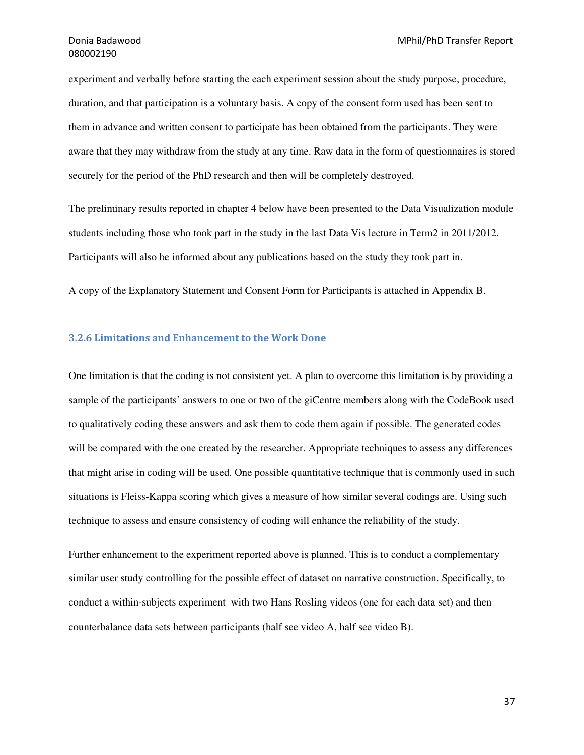experiment and verbally before starting the each experiment session about the study purpose, procedure, duration, and that participation is a voluntary basis. A copy of the consent form used has been sent to them in advance and written consent to participate has been obtained from the participants. They were aware that they may withdraw from the study at any time. Raw data in the form of questionnaires is stored securely for the period of the PhD research and then will be completely destroyed.

The preliminary results reported in chapter 4 below have been presented to the Data Visualization module students including those who took part in the study in the last Data Vis lecture in Term2 in 2011/2012. Participants will also be informed about any publications based on the study they took part in.

A copy of the Explanatory Statement and Consent Form for Participants is attached in Appendix B.

#### 3.2.6 Limitations and Enhancement to the Work Done

One limitation is that the coding is not consistent yet. A plan to overcome this limitation is by providing a sample of the participants' answers to one or two of the giCentre members along with the CodeBook used to qualitatively coding these answers and ask them to code them again if possible. The generated codes will be compared with the one created by the researcher. Appropriate techniques to assess any differences that might arise in coding will be used. One possible quantitative technique that is commonly used in such situations is Fleiss-Kappa scoring which gives a measure of how similar several codings are. Using such technique to assess and ensure consistency of coding will enhance the reliability of the study.

Further enhancement to the experiment reported above is planned. This is to conduct a complementary similar user study controlling for the possible effect of dataset on narrative construction. Specifically, to conduct a within-subjects experiment with two Hans Rosling videos (one for each data set) and then counterbalance data sets between participants (half see video A, half see video B).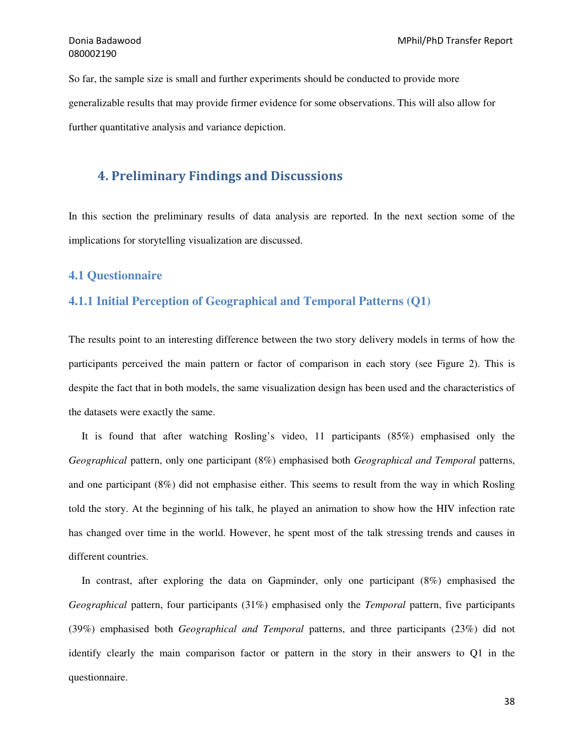So far, the sample size is small and further experiments should be conducted to provide more generalizable results that may provide firmer evidence for some observations. This will also allow for further quantitative analysis and variance depiction.

### 4. Preliminary Findings and Discussions

In this section the preliminary results of data analysis are reported. In the next section some of the implications for storytelling visualization are discussed.

#### **4.1 Questionnaire**

#### **4.1.1 Initial Perception of Geographical and Temporal Patterns (Q1)**

The results point to an interesting difference between the two story delivery models in terms of how the participants perceived the main pattern or factor of comparison in each story (see Figure 2). This is despite the fact that in both models, the same visualization design has been used and the characteristics of the datasets were exactly the same.

 It is found that after watching Rosling's video, 11 participants (85%) emphasised only the *Geographical* pattern, only one participant (8%) emphasised both *Geographical and Temporal* patterns, and one participant (8%) did not emphasise either. This seems to result from the way in which Rosling told the story. At the beginning of his talk, he played an animation to show how the HIV infection rate has changed over time in the world. However, he spent most of the talk stressing trends and causes in different countries.

 In contrast, after exploring the data on Gapminder, only one participant (8%) emphasised the *Geographical* pattern, four participants (31%) emphasised only the *Temporal* pattern, five participants (39%) emphasised both *Geographical and Temporal* patterns, and three participants (23%) did not identify clearly the main comparison factor or pattern in the story in their answers to Q1 in the questionnaire.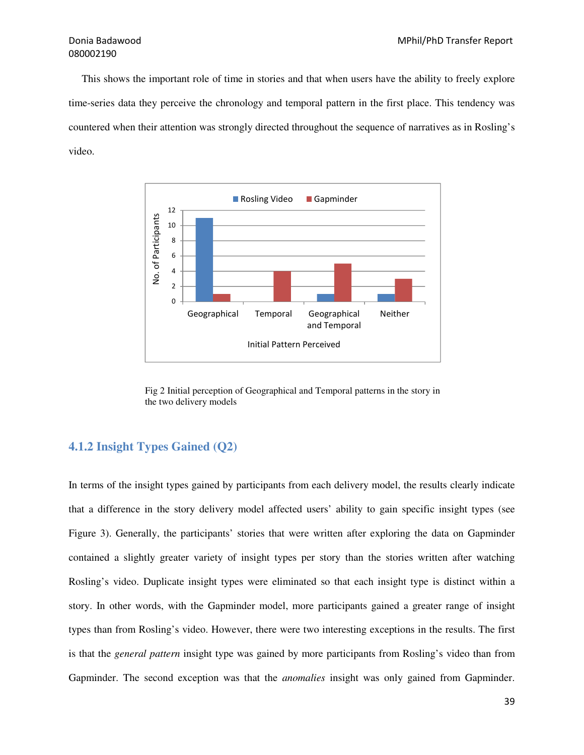This shows the important role of time in stories and that when users have the ability to freely explore time-series data they perceive the chronology and temporal pattern in the first place. This tendency was countered when their attention was strongly directed throughout the sequence of narratives as in Rosling's video.



Fig 2 Initial perception of Geographical and Temporal patterns in the story in the two delivery models

#### **4.1.2 Insight Types Gained (Q2)**

In terms of the insight types gained by participants from each delivery model, the results clearly indicate that a difference in the story delivery model affected users' ability to gain specific insight types (see Figure 3). Generally, the participants' stories that were written after exploring the data on Gapminder contained a slightly greater variety of insight types per story than the stories written after watching Rosling's video. Duplicate insight types were eliminated so that each insight type is distinct within a story. In other words, with the Gapminder model, more participants gained a greater range of insight types than from Rosling's video. However, there were two interesting exceptions in the results. The first is that the *general pattern* insight type was gained by more participants from Rosling's video than from Gapminder. The second exception was that the *anomalies* insight was only gained from Gapminder.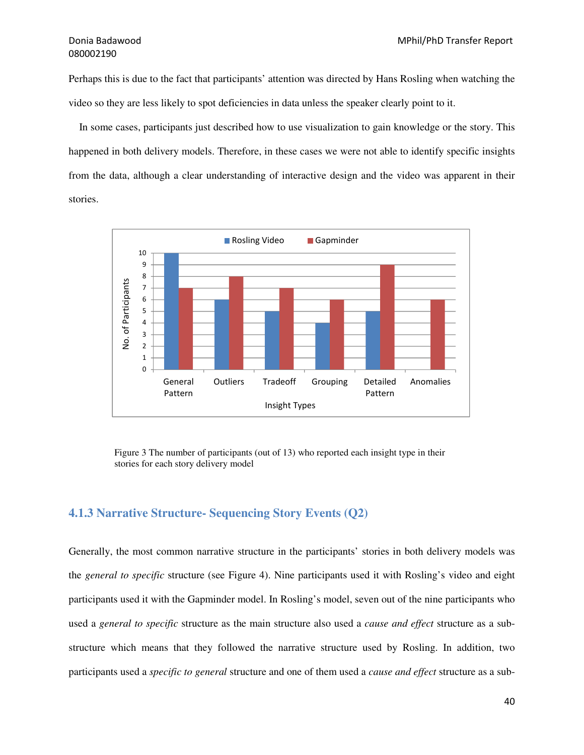Perhaps this is due to the fact that participants' attention was directed by Hans Rosling when watching the video so they are less likely to spot deficiencies in data unless the speaker clearly point to it.

 In some cases, participants just described how to use visualization to gain knowledge or the story. This happened in both delivery models. Therefore, in these cases we were not able to identify specific insights from the data, although a clear understanding of interactive design and the video was apparent in their stories.



Figure 3 The number of participants (out of 13) who reported each insight type in their stories for each story delivery model

#### **4.1.3 Narrative Structure- Sequencing Story Events (Q2)**

Generally, the most common narrative structure in the participants' stories in both delivery models was the *general to specific* structure (see Figure 4). Nine participants used it with Rosling's video and eight participants used it with the Gapminder model. In Rosling's model, seven out of the nine participants who used a *general to specific* structure as the main structure also used a *cause and effect* structure as a substructure which means that they followed the narrative structure used by Rosling. In addition, two participants used a *specific to general* structure and one of them used a *cause and effect* structure as a sub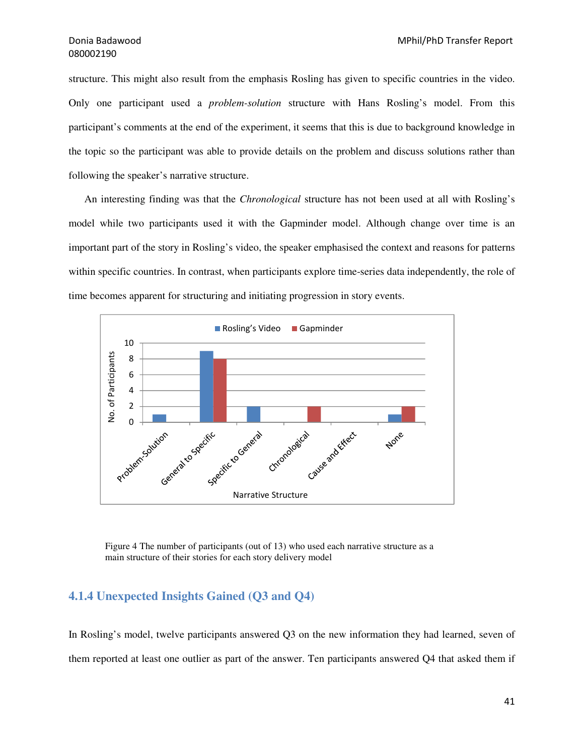structure. This might also result from the emphasis Rosling has given to specific countries in the video. Only one participant used a *problem-solution* structure with Hans Rosling's model. From this participant's comments at the end of the experiment, it seems that this is due to background knowledge in the topic so the participant was able to provide details on the problem and discuss solutions rather than following the speaker's narrative structure.

 An interesting finding was that the *Chronological* structure has not been used at all with Rosling's model while two participants used it with the Gapminder model. Although change over time is an important part of the story in Rosling's video, the speaker emphasised the context and reasons for patterns within specific countries. In contrast, when participants explore time-series data independently, the role of time becomes apparent for structuring and initiating progression in story events.



Figure 4 The number of participants (out of 13) who used each narrative structure as a main structure of their stories for each story delivery model

#### **4.1.4 Unexpected Insights Gained (Q3 and Q4)**

In Rosling's model, twelve participants answered Q3 on the new information they had learned, seven of them reported at least one outlier as part of the answer. Ten participants answered Q4 that asked them if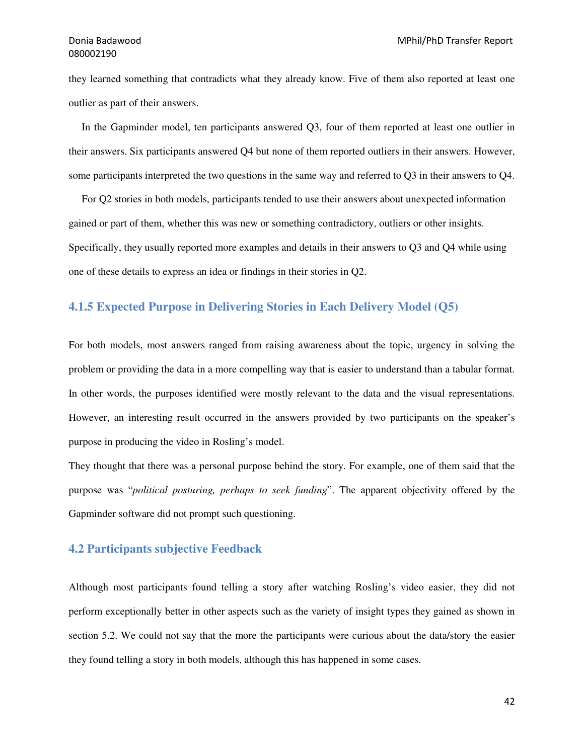they learned something that contradicts what they already know. Five of them also reported at least one outlier as part of their answers.

 In the Gapminder model, ten participants answered Q3, four of them reported at least one outlier in their answers. Six participants answered Q4 but none of them reported outliers in their answers. However, some participants interpreted the two questions in the same way and referred to Q3 in their answers to Q4.

 For Q2 stories in both models, participants tended to use their answers about unexpected information gained or part of them, whether this was new or something contradictory, outliers or other insights. Specifically, they usually reported more examples and details in their answers to Q3 and Q4 while using one of these details to express an idea or findings in their stories in Q2.

#### **4.1.5 Expected Purpose in Delivering Stories in Each Delivery Model (Q5)**

For both models, most answers ranged from raising awareness about the topic, urgency in solving the problem or providing the data in a more compelling way that is easier to understand than a tabular format. In other words, the purposes identified were mostly relevant to the data and the visual representations. However, an interesting result occurred in the answers provided by two participants on the speaker's purpose in producing the video in Rosling's model.

They thought that there was a personal purpose behind the story. For example, one of them said that the purpose was "*political posturing, perhaps to seek funding*". The apparent objectivity offered by the Gapminder software did not prompt such questioning.

#### **4.2 Participants subjective Feedback**

Although most participants found telling a story after watching Rosling's video easier, they did not perform exceptionally better in other aspects such as the variety of insight types they gained as shown in section 5.2. We could not say that the more the participants were curious about the data/story the easier they found telling a story in both models, although this has happened in some cases.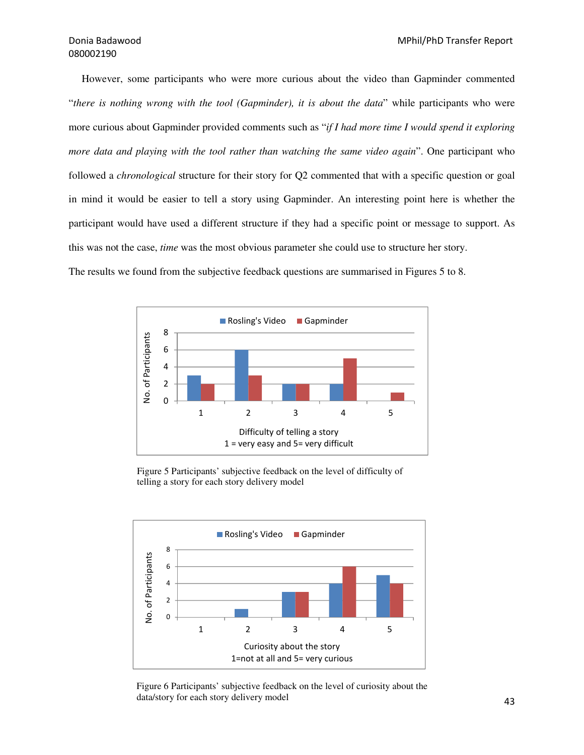However, some participants who were more curious about the video than Gapminder commented "*there is nothing wrong with the tool (Gapminder), it is about the data*" while participants who were more curious about Gapminder provided comments such as "*if I had more time I would spend it exploring more data and playing with the tool rather than watching the same video again*". One participant who followed a *chronological* structure for their story for Q2 commented that with a specific question or goal in mind it would be easier to tell a story using Gapminder. An interesting point here is whether the participant would have used a different structure if they had a specific point or message to support. As this was not the case, *time* was the most obvious parameter she could use to structure her story.

The results we found from the subjective feedback questions are summarised in Figures 5 to 8.



Figure 5 Participants' subjective feedback on the level of difficulty of telling a story for each story delivery model



Figure 6 Participants' subjective feedback on the level of curiosity about the data/story for each story delivery model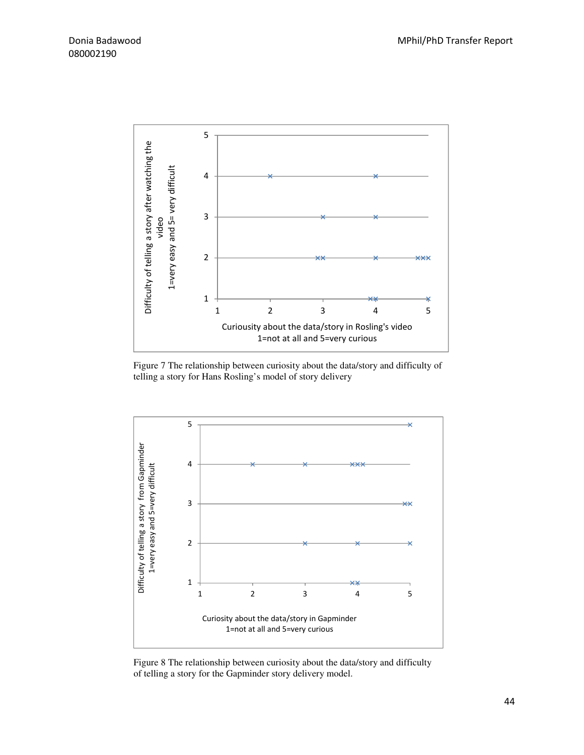

Figure 7 The relationship between curiosity about the data/story and difficulty of telling a story for Hans Rosling's model of story delivery



Figure 8 The relationship between curiosity about the data/story and difficulty of telling a story for the Gapminder story delivery model.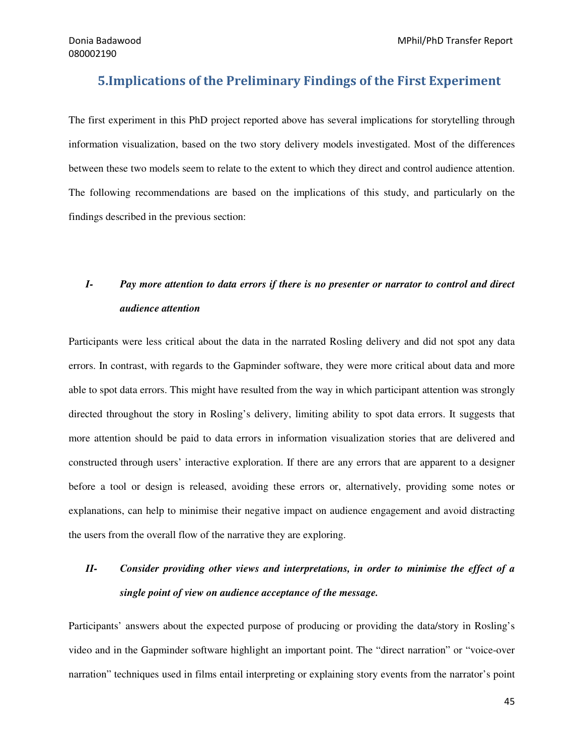### 5.Implications of the Preliminary Findings of the First Experiment

The first experiment in this PhD project reported above has several implications for storytelling through information visualization, based on the two story delivery models investigated. Most of the differences between these two models seem to relate to the extent to which they direct and control audience attention. The following recommendations are based on the implications of this study, and particularly on the findings described in the previous section:

# *I- Pay more attention to data errors if there is no presenter or narrator to control and direct audience attention*

Participants were less critical about the data in the narrated Rosling delivery and did not spot any data errors. In contrast, with regards to the Gapminder software, they were more critical about data and more able to spot data errors. This might have resulted from the way in which participant attention was strongly directed throughout the story in Rosling's delivery, limiting ability to spot data errors. It suggests that more attention should be paid to data errors in information visualization stories that are delivered and constructed through users' interactive exploration. If there are any errors that are apparent to a designer before a tool or design is released, avoiding these errors or, alternatively, providing some notes or explanations, can help to minimise their negative impact on audience engagement and avoid distracting the users from the overall flow of the narrative they are exploring.

# *II- Consider providing other views and interpretations, in order to minimise the effect of a single point of view on audience acceptance of the message.*

Participants' answers about the expected purpose of producing or providing the data/story in Rosling's video and in the Gapminder software highlight an important point. The "direct narration" or "voice-over narration" techniques used in films entail interpreting or explaining story events from the narrator's point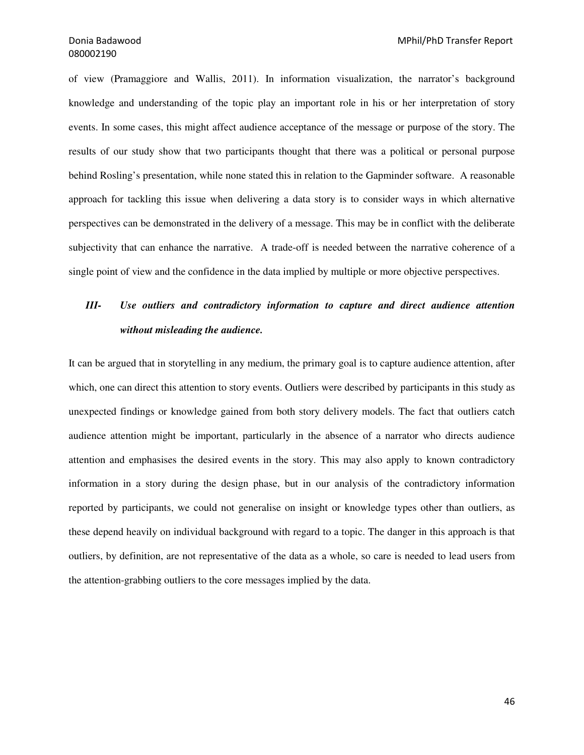of view (Pramaggiore and Wallis, 2011). In information visualization, the narrator's background knowledge and understanding of the topic play an important role in his or her interpretation of story events. In some cases, this might affect audience acceptance of the message or purpose of the story. The results of our study show that two participants thought that there was a political or personal purpose behind Rosling's presentation, while none stated this in relation to the Gapminder software. A reasonable approach for tackling this issue when delivering a data story is to consider ways in which alternative perspectives can be demonstrated in the delivery of a message. This may be in conflict with the deliberate subjectivity that can enhance the narrative. A trade-off is needed between the narrative coherence of a single point of view and the confidence in the data implied by multiple or more objective perspectives.

## *III- Use outliers and contradictory information to capture and direct audience attention without misleading the audience.*

It can be argued that in storytelling in any medium, the primary goal is to capture audience attention, after which, one can direct this attention to story events. Outliers were described by participants in this study as unexpected findings or knowledge gained from both story delivery models. The fact that outliers catch audience attention might be important, particularly in the absence of a narrator who directs audience attention and emphasises the desired events in the story. This may also apply to known contradictory information in a story during the design phase, but in our analysis of the contradictory information reported by participants, we could not generalise on insight or knowledge types other than outliers, as these depend heavily on individual background with regard to a topic. The danger in this approach is that outliers, by definition, are not representative of the data as a whole, so care is needed to lead users from the attention-grabbing outliers to the core messages implied by the data.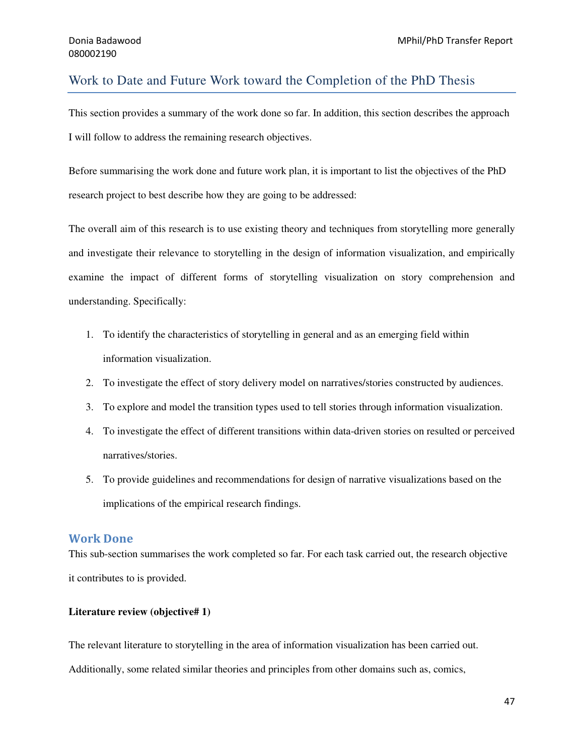#### Work to Date and Future Work toward the Completion of the PhD Thesis

This section provides a summary of the work done so far. In addition, this section describes the approach I will follow to address the remaining research objectives.

Before summarising the work done and future work plan, it is important to list the objectives of the PhD research project to best describe how they are going to be addressed:

The overall aim of this research is to use existing theory and techniques from storytelling more generally and investigate their relevance to storytelling in the design of information visualization, and empirically examine the impact of different forms of storytelling visualization on story comprehension and understanding. Specifically:

- 1. To identify the characteristics of storytelling in general and as an emerging field within information visualization.
- 2. To investigate the effect of story delivery model on narratives/stories constructed by audiences.
- 3. To explore and model the transition types used to tell stories through information visualization.
- 4. To investigate the effect of different transitions within data-driven stories on resulted or perceived narratives/stories.
- 5. To provide guidelines and recommendations for design of narrative visualizations based on the implications of the empirical research findings.

#### Work Done

This sub-section summarises the work completed so far. For each task carried out, the research objective it contributes to is provided.

#### **Literature review (objective# 1)**

The relevant literature to storytelling in the area of information visualization has been carried out.

Additionally, some related similar theories and principles from other domains such as, comics,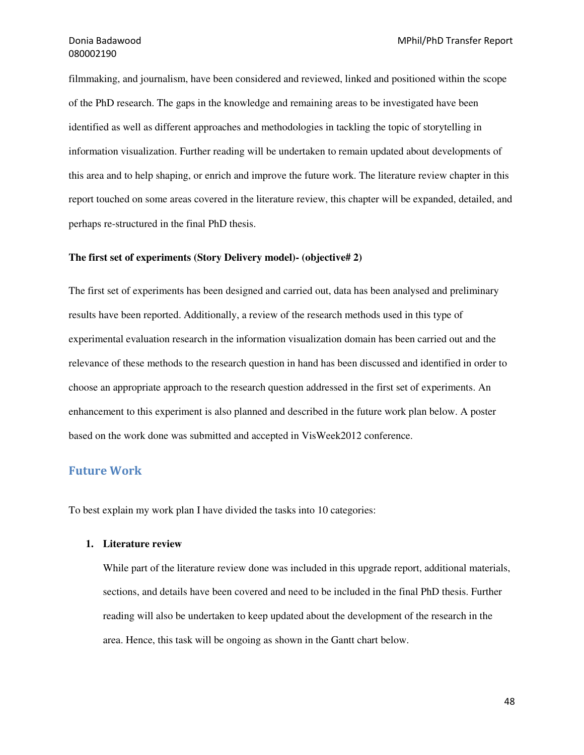filmmaking, and journalism, have been considered and reviewed, linked and positioned within the scope of the PhD research. The gaps in the knowledge and remaining areas to be investigated have been identified as well as different approaches and methodologies in tackling the topic of storytelling in information visualization. Further reading will be undertaken to remain updated about developments of this area and to help shaping, or enrich and improve the future work. The literature review chapter in this report touched on some areas covered in the literature review, this chapter will be expanded, detailed, and perhaps re-structured in the final PhD thesis.

#### **The first set of experiments (Story Delivery model)- (objective# 2)**

The first set of experiments has been designed and carried out, data has been analysed and preliminary results have been reported. Additionally, a review of the research methods used in this type of experimental evaluation research in the information visualization domain has been carried out and the relevance of these methods to the research question in hand has been discussed and identified in order to choose an appropriate approach to the research question addressed in the first set of experiments. An enhancement to this experiment is also planned and described in the future work plan below. A poster based on the work done was submitted and accepted in VisWeek2012 conference.

#### Future Work

To best explain my work plan I have divided the tasks into 10 categories:

#### **1. Literature review**

While part of the literature review done was included in this upgrade report, additional materials, sections, and details have been covered and need to be included in the final PhD thesis. Further reading will also be undertaken to keep updated about the development of the research in the area. Hence, this task will be ongoing as shown in the Gantt chart below.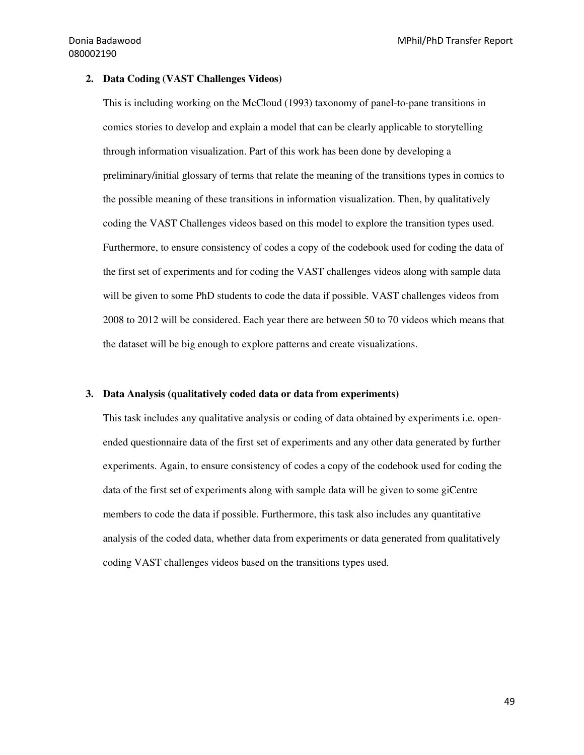#### **2. Data Coding (VAST Challenges Videos)**

This is including working on the McCloud (1993) taxonomy of panel-to-pane transitions in comics stories to develop and explain a model that can be clearly applicable to storytelling through information visualization. Part of this work has been done by developing a preliminary/initial glossary of terms that relate the meaning of the transitions types in comics to the possible meaning of these transitions in information visualization. Then, by qualitatively coding the VAST Challenges videos based on this model to explore the transition types used. Furthermore, to ensure consistency of codes a copy of the codebook used for coding the data of the first set of experiments and for coding the VAST challenges videos along with sample data will be given to some PhD students to code the data if possible. VAST challenges videos from 2008 to 2012 will be considered. Each year there are between 50 to 70 videos which means that the dataset will be big enough to explore patterns and create visualizations.

#### **3. Data Analysis (qualitatively coded data or data from experiments)**

This task includes any qualitative analysis or coding of data obtained by experiments i.e. openended questionnaire data of the first set of experiments and any other data generated by further experiments. Again, to ensure consistency of codes a copy of the codebook used for coding the data of the first set of experiments along with sample data will be given to some giCentre members to code the data if possible. Furthermore, this task also includes any quantitative analysis of the coded data, whether data from experiments or data generated from qualitatively coding VAST challenges videos based on the transitions types used.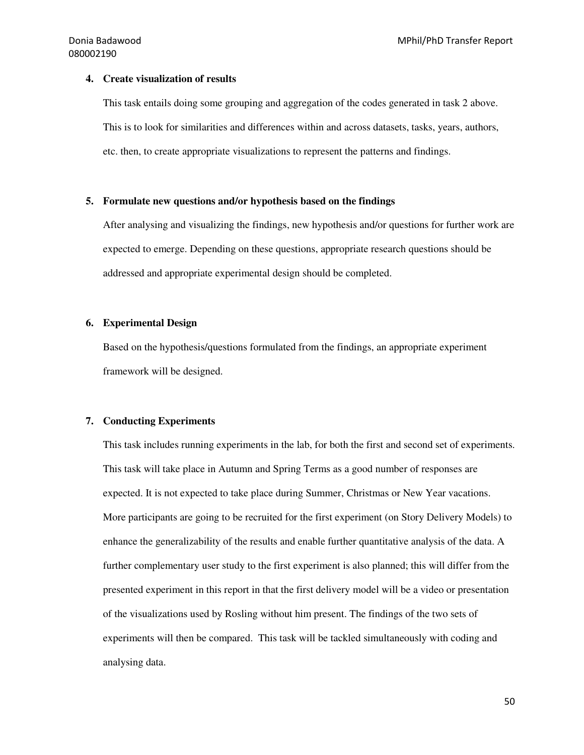#### **4. Create visualization of results**

This task entails doing some grouping and aggregation of the codes generated in task 2 above. This is to look for similarities and differences within and across datasets, tasks, years, authors, etc. then, to create appropriate visualizations to represent the patterns and findings.

#### **5. Formulate new questions and/or hypothesis based on the findings**

After analysing and visualizing the findings, new hypothesis and/or questions for further work are expected to emerge. Depending on these questions, appropriate research questions should be addressed and appropriate experimental design should be completed.

#### **6. Experimental Design**

Based on the hypothesis/questions formulated from the findings, an appropriate experiment framework will be designed.

#### **7. Conducting Experiments**

This task includes running experiments in the lab, for both the first and second set of experiments. This task will take place in Autumn and Spring Terms as a good number of responses are expected. It is not expected to take place during Summer, Christmas or New Year vacations. More participants are going to be recruited for the first experiment (on Story Delivery Models) to enhance the generalizability of the results and enable further quantitative analysis of the data. A further complementary user study to the first experiment is also planned; this will differ from the presented experiment in this report in that the first delivery model will be a video or presentation of the visualizations used by Rosling without him present. The findings of the two sets of experiments will then be compared. This task will be tackled simultaneously with coding and analysing data.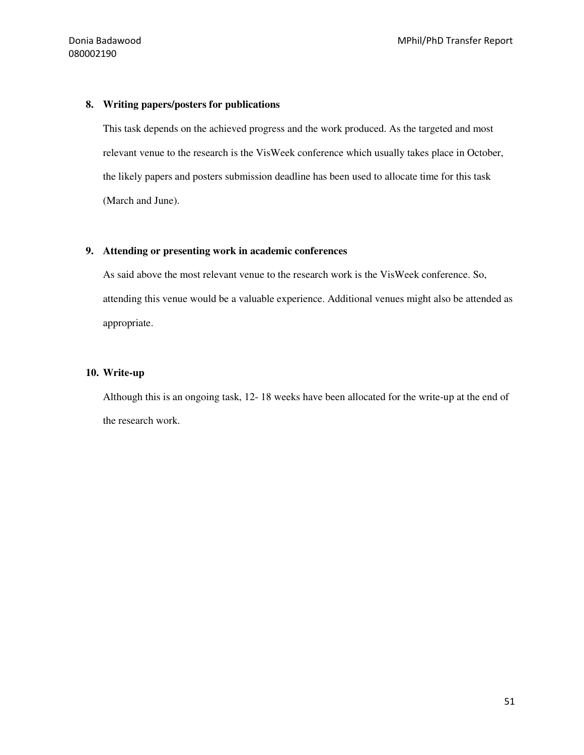#### **8. Writing papers/posters for publications**

This task depends on the achieved progress and the work produced. As the targeted and most relevant venue to the research is the VisWeek conference which usually takes place in October, the likely papers and posters submission deadline has been used to allocate time for this task (March and June).

#### **9. Attending or presenting work in academic conferences**

As said above the most relevant venue to the research work is the VisWeek conference. So, attending this venue would be a valuable experience. Additional venues might also be attended as appropriate.

#### **10. Write-up**

Although this is an ongoing task, 12- 18 weeks have been allocated for the write-up at the end of the research work.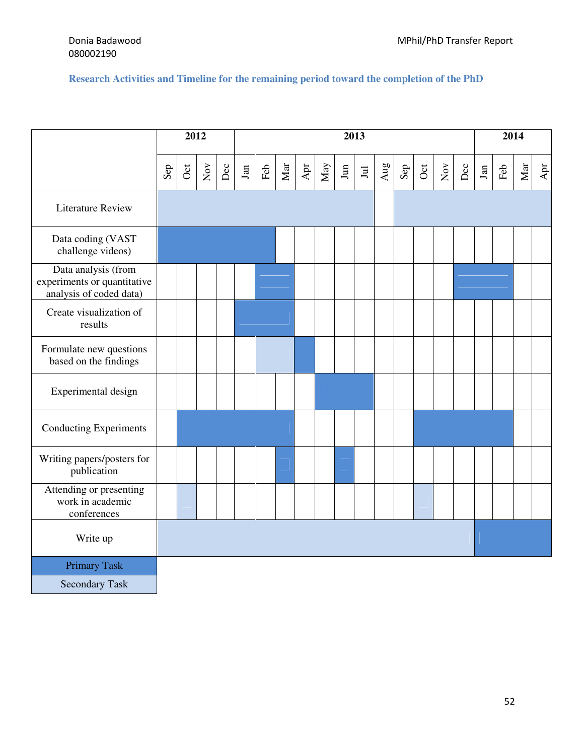#### **Research Activities and Timeline for the remaining period toward the completion of the PhD**

|                                                                               | 2012         |     |              | 2013 |            |     |     |                  |                   |                  |                                                           |     |              |     |            | 2014 |            |             |            |                                  |
|-------------------------------------------------------------------------------|--------------|-----|--------------|------|------------|-----|-----|------------------|-------------------|------------------|-----------------------------------------------------------|-----|--------------|-----|------------|------|------------|-------------|------------|----------------------------------|
|                                                                               | $\mbox{Sep}$ | Oct | $_{\rm Nov}$ | Dec  | $\rm{Jan}$ | Feb | Mar | $\mbox{\bf Apr}$ | $_{\mathrm{May}}$ | $\,\mathrm{Jun}$ | $\ensuremath{\mathop{\boxtimes}\limits^{\text{}}}\xspace$ | Aug | $\mbox{Sep}$ | Oct | $\rm{Nov}$ | Dec  | $\rm{Jan}$ | ${\rm Feb}$ | $\rm{Mar}$ | $\mathbf{A}\mathbf{p}\mathbf{r}$ |
| <b>Literature Review</b>                                                      |              |     |              |      |            |     |     |                  |                   |                  |                                                           |     |              |     |            |      |            |             |            |                                  |
| Data coding (VAST<br>challenge videos)                                        |              |     |              |      |            |     |     |                  |                   |                  |                                                           |     |              |     |            |      |            |             |            |                                  |
| Data analysis (from<br>experiments or quantitative<br>analysis of coded data) |              |     |              |      |            |     |     |                  |                   |                  |                                                           |     |              |     |            |      |            |             |            |                                  |
| Create visualization of<br>results                                            |              |     |              |      |            |     |     |                  |                   |                  |                                                           |     |              |     |            |      |            |             |            |                                  |
| Formulate new questions<br>based on the findings                              |              |     |              |      |            |     |     |                  |                   |                  |                                                           |     |              |     |            |      |            |             |            |                                  |
| Experimental design                                                           |              |     |              |      |            |     |     |                  |                   |                  |                                                           |     |              |     |            |      |            |             |            |                                  |
| <b>Conducting Experiments</b>                                                 |              |     |              |      |            |     |     |                  |                   |                  |                                                           |     |              |     |            |      |            |             |            |                                  |
| Writing papers/posters for<br>publication                                     |              |     |              |      |            |     |     |                  |                   |                  |                                                           |     |              |     |            |      |            |             |            |                                  |
| Attending or presenting<br>work in academic<br>conferences                    |              |     |              |      |            |     |     |                  |                   |                  |                                                           |     |              |     |            |      |            |             |            |                                  |
| Write up                                                                      |              |     |              |      |            |     |     |                  |                   |                  |                                                           |     |              |     |            |      |            |             |            |                                  |
| <b>Primary Task</b>                                                           |              |     |              |      |            |     |     |                  |                   |                  |                                                           |     |              |     |            |      |            |             |            |                                  |
| <b>Secondary Task</b>                                                         |              |     |              |      |            |     |     |                  |                   |                  |                                                           |     |              |     |            |      |            |             |            |                                  |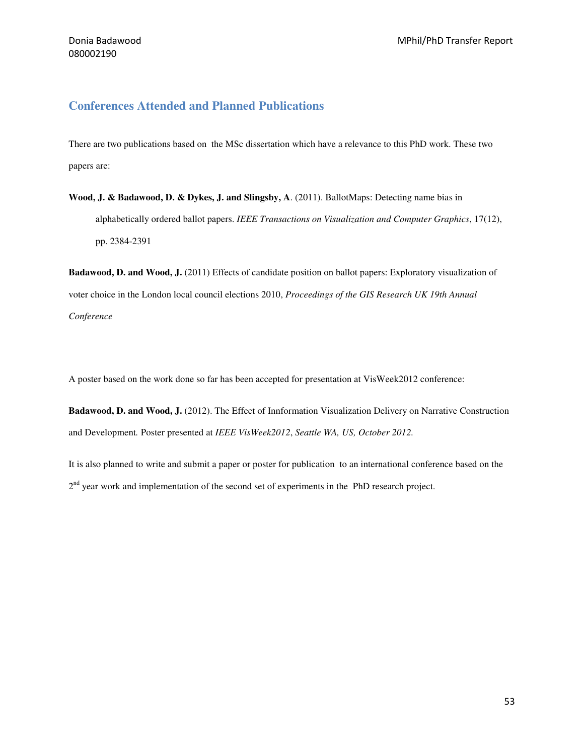#### **Conferences Attended and Planned Publications**

There are two publications based on the MSc dissertation which have a relevance to this PhD work. These two papers are:

**Wood, J. & Badawood, D. & Dykes, J. and Slingsby, A**. (2011). BallotMaps: Detecting name bias in alphabetically ordered ballot papers. *IEEE Transactions on Visualization and Computer Graphics*, 17(12), pp. 2384-2391

**Badawood, D. and Wood, J.** (2011) Effects of candidate position on ballot papers: Exploratory visualization of voter choice in the London local council elections 2010, *Proceedings of the GIS Research UK 19th Annual Conference* 

A poster based on the work done so far has been accepted for presentation at VisWeek2012 conference:

**Badawood, D. and Wood, J.** (2012). The Effect of Innformation Visualization Delivery on Narrative Construction and Development*.* Poster presented at *IEEE VisWeek2012*, *Seattle WA, US, October 2012.*

It is also planned to write and submit a paper or poster for publication to an international conference based on the 2<sup>nd</sup> year work and implementation of the second set of experiments in the PhD research project.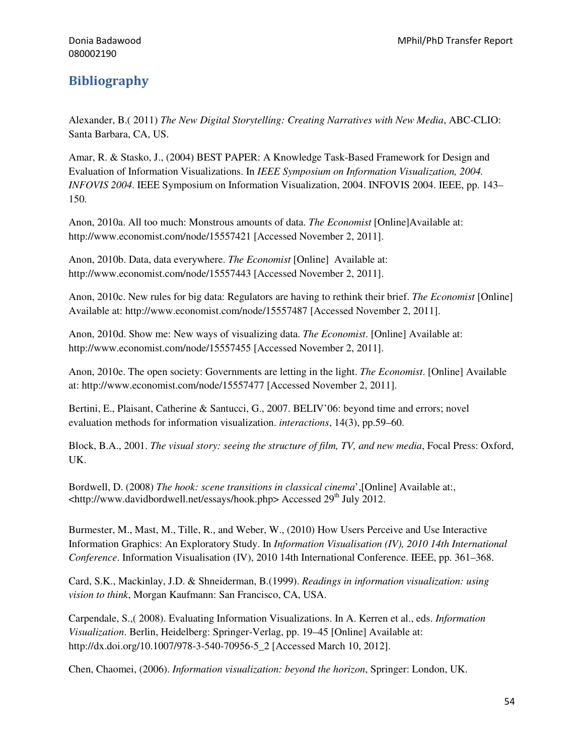## Bibliography

Alexander, B.( 2011) *The New Digital Storytelling: Creating Narratives with New Media*, ABC-CLIO: Santa Barbara, CA, US.

Amar, R. & Stasko, J., (2004) BEST PAPER: A Knowledge Task-Based Framework for Design and Evaluation of Information Visualizations. In *IEEE Symposium on Information Visualization, 2004. INFOVIS 2004*. IEEE Symposium on Information Visualization, 2004. INFOVIS 2004. IEEE, pp. 143– 150.

Anon, 2010a. All too much: Monstrous amounts of data. *The Economist* [Online]Available at: http://www.economist.com/node/15557421 [Accessed November 2, 2011].

Anon, 2010b. Data, data everywhere. *The Economist* [Online] Available at: http://www.economist.com/node/15557443 [Accessed November 2, 2011].

Anon, 2010c. New rules for big data: Regulators are having to rethink their brief. *The Economist* [Online] Available at: http://www.economist.com/node/15557487 [Accessed November 2, 2011].

Anon, 2010d. Show me: New ways of visualizing data. *The Economist*. [Online] Available at: http://www.economist.com/node/15557455 [Accessed November 2, 2011].

Anon, 2010e. The open society: Governments are letting in the light. *The Economist*. [Online] Available at: http://www.economist.com/node/15557477 [Accessed November 2, 2011].

Bertini, E., Plaisant, Catherine & Santucci, G., 2007. BELIV'06: beyond time and errors; novel evaluation methods for information visualization. *interactions*, 14(3), pp.59–60.

Block, B.A., 2001. *The visual story: seeing the structure of film, TV, and new media*, Focal Press: Oxford, UK.

Bordwell, D. (2008) *The hook: scene transitions in classical cinema*',[Online] Available at:,  $\lt$ http://www.davidbordwell.net/essays/hook.php> Accessed 29<sup>th</sup> July 2012.

Burmester, M., Mast, M., Tille, R., and Weber, W., (2010) How Users Perceive and Use Interactive Information Graphics: An Exploratory Study. In *Information Visualisation (IV), 2010 14th International Conference*. Information Visualisation (IV), 2010 14th International Conference. IEEE, pp. 361–368.

Card, S.K., Mackinlay, J.D. & Shneiderman, B.(1999). *Readings in information visualization: using vision to think*, Morgan Kaufmann: San Francisco, CA, USA.

Carpendale, S.,( 2008). Evaluating Information Visualizations. In A. Kerren et al., eds. *Information Visualization*. Berlin, Heidelberg: Springer-Verlag, pp. 19–45 [Online] Available at: http://dx.doi.org/10.1007/978-3-540-70956-5\_2 [Accessed March 10, 2012].

Chen, Chaomei, (2006). *Information visualization: beyond the horizon*, Springer: London, UK.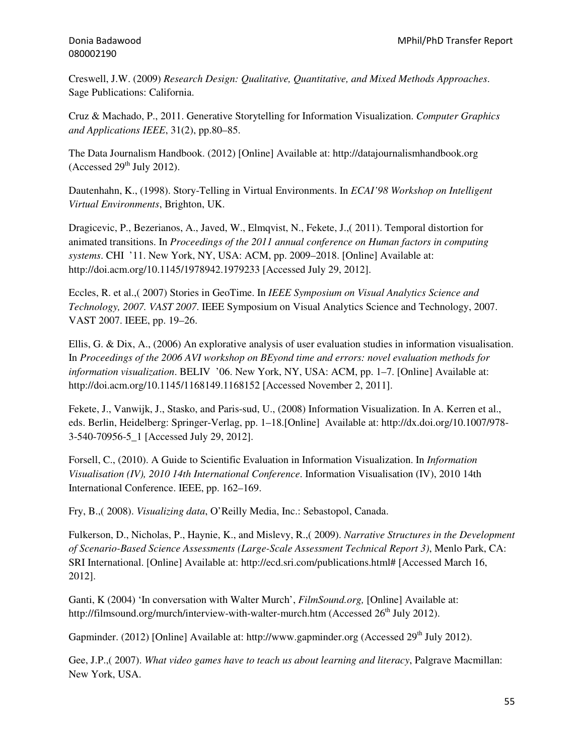Creswell, J.W. (2009) *Research Design: Qualitative, Quantitative, and Mixed Methods Approaches*. Sage Publications: California.

Cruz & Machado, P., 2011. Generative Storytelling for Information Visualization. *Computer Graphics and Applications IEEE*, 31(2), pp.80–85.

The Data Journalism Handbook. (2012) [Online] Available at: http://datajournalismhandbook.org (Accessed  $29<sup>th</sup>$  July 2012).

Dautenhahn, K., (1998). Story-Telling in Virtual Environments. In *ECAI'98 Workshop on Intelligent Virtual Environments*, Brighton, UK.

Dragicevic, P., Bezerianos, A., Javed, W., Elmqvist, N., Fekete, J.,( 2011). Temporal distortion for animated transitions. In *Proceedings of the 2011 annual conference on Human factors in computing systems*. CHI '11. New York, NY, USA: ACM, pp. 2009–2018. [Online] Available at: http://doi.acm.org/10.1145/1978942.1979233 [Accessed July 29, 2012].

Eccles, R. et al.,( 2007) Stories in GeoTime. In *IEEE Symposium on Visual Analytics Science and Technology, 2007. VAST 2007*. IEEE Symposium on Visual Analytics Science and Technology, 2007. VAST 2007. IEEE, pp. 19–26.

Ellis, G. & Dix, A., (2006) An explorative analysis of user evaluation studies in information visualisation. In *Proceedings of the 2006 AVI workshop on BEyond time and errors: novel evaluation methods for information visualization*. BELIV '06. New York, NY, USA: ACM, pp. 1–7. [Online] Available at: http://doi.acm.org/10.1145/1168149.1168152 [Accessed November 2, 2011].

Fekete, J., Vanwijk, J., Stasko, and Paris-sud, U., (2008) Information Visualization. In A. Kerren et al., eds. Berlin, Heidelberg: Springer-Verlag, pp. 1–18.[Online] Available at: http://dx.doi.org/10.1007/978- 3-540-70956-5\_1 [Accessed July 29, 2012].

Forsell, C., (2010). A Guide to Scientific Evaluation in Information Visualization. In *Information Visualisation (IV), 2010 14th International Conference*. Information Visualisation (IV), 2010 14th International Conference. IEEE, pp. 162–169.

Fry, B.,( 2008). *Visualizing data*, O'Reilly Media, Inc.: Sebastopol, Canada.

Fulkerson, D., Nicholas, P., Haynie, K., and Mislevy, R.,( 2009). *Narrative Structures in the Development of Scenario-Based Science Assessments (Large-Scale Assessment Technical Report 3)*, Menlo Park, CA: SRI International. [Online] Available at: http://ecd.sri.com/publications.html# [Accessed March 16, 2012].

Ganti, K (2004) 'In conversation with Walter Murch', *FilmSound.org,* [Online] Available at: http://filmsound.org/murch/interview-with-walter-murch.htm (Accessed  $26<sup>th</sup>$  July 2012).

Gapminder. (2012) [Online] Available at: http://www.gapminder.org (Accessed 29<sup>th</sup> July 2012).

Gee, J.P.,( 2007). *What video games have to teach us about learning and literacy*, Palgrave Macmillan: New York, USA.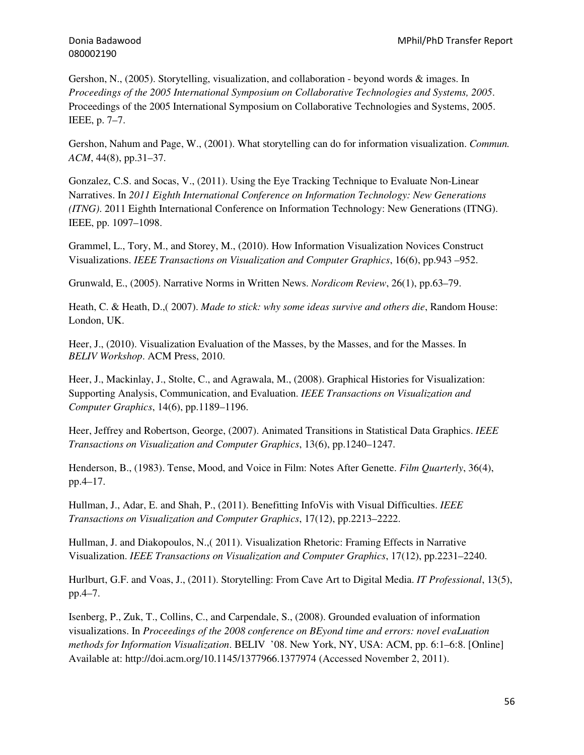Gershon, N., (2005). Storytelling, visualization, and collaboration - beyond words & images. In *Proceedings of the 2005 International Symposium on Collaborative Technologies and Systems, 2005*. Proceedings of the 2005 International Symposium on Collaborative Technologies and Systems, 2005. IEEE, p. 7–7.

Gershon, Nahum and Page, W., (2001). What storytelling can do for information visualization. *Commun. ACM*, 44(8), pp.31–37.

Gonzalez, C.S. and Socas, V., (2011). Using the Eye Tracking Technique to Evaluate Non-Linear Narratives. In *2011 Eighth International Conference on Information Technology: New Generations (ITNG)*. 2011 Eighth International Conference on Information Technology: New Generations (ITNG). IEEE, pp. 1097–1098.

Grammel, L., Tory, M., and Storey, M., (2010). How Information Visualization Novices Construct Visualizations. *IEEE Transactions on Visualization and Computer Graphics*, 16(6), pp.943 –952.

Grunwald, E., (2005). Narrative Norms in Written News. *Nordicom Review*, 26(1), pp.63–79.

Heath, C. & Heath, D.,( 2007). *Made to stick: why some ideas survive and others die*, Random House: London, UK.

Heer, J., (2010). Visualization Evaluation of the Masses, by the Masses, and for the Masses. In *BELIV Workshop*. ACM Press, 2010.

Heer, J., Mackinlay, J., Stolte, C., and Agrawala, M., (2008). Graphical Histories for Visualization: Supporting Analysis, Communication, and Evaluation. *IEEE Transactions on Visualization and Computer Graphics*, 14(6), pp.1189–1196.

Heer, Jeffrey and Robertson, George, (2007). Animated Transitions in Statistical Data Graphics. *IEEE Transactions on Visualization and Computer Graphics*, 13(6), pp.1240–1247.

Henderson, B., (1983). Tense, Mood, and Voice in Film: Notes After Genette. *Film Quarterly*, 36(4), pp.4–17.

Hullman, J., Adar, E. and Shah, P., (2011). Benefitting InfoVis with Visual Difficulties. *IEEE Transactions on Visualization and Computer Graphics*, 17(12), pp.2213–2222.

Hullman, J. and Diakopoulos, N.,( 2011). Visualization Rhetoric: Framing Effects in Narrative Visualization. *IEEE Transactions on Visualization and Computer Graphics*, 17(12), pp.2231–2240.

Hurlburt, G.F. and Voas, J., (2011). Storytelling: From Cave Art to Digital Media. *IT Professional*, 13(5), pp.4–7.

Isenberg, P., Zuk, T., Collins, C., and Carpendale, S., (2008). Grounded evaluation of information visualizations. In *Proceedings of the 2008 conference on BEyond time and errors: novel evaLuation methods for Information Visualization*. BELIV '08. New York, NY, USA: ACM, pp. 6:1–6:8. [Online] Available at: http://doi.acm.org/10.1145/1377966.1377974 (Accessed November 2, 2011).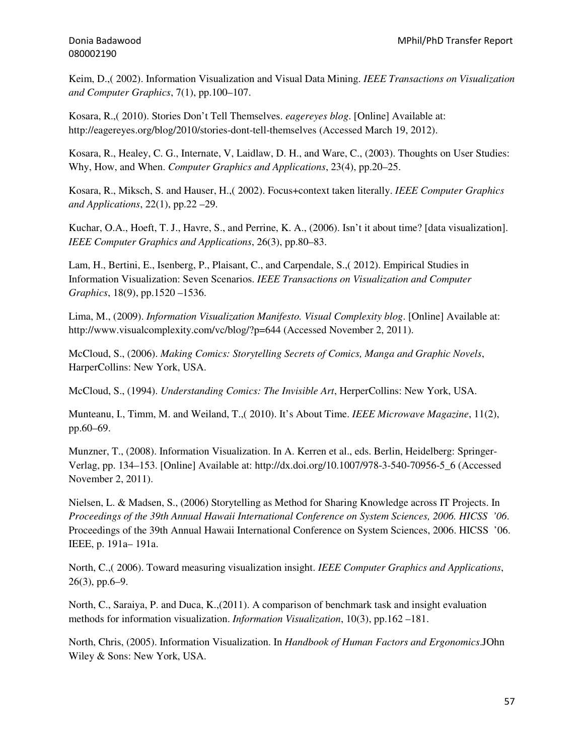Keim, D.,( 2002). Information Visualization and Visual Data Mining. *IEEE Transactions on Visualization and Computer Graphics*, 7(1), pp.100–107.

Kosara, R.,( 2010). Stories Don't Tell Themselves. *eagereyes blog*. [Online] Available at: http://eagereyes.org/blog/2010/stories-dont-tell-themselves (Accessed March 19, 2012).

Kosara, R., Healey, C. G., Internate, V, Laidlaw, D. H., and Ware, C., (2003). Thoughts on User Studies: Why, How, and When. *Computer Graphics and Applications*, 23(4), pp.20–25.

Kosara, R., Miksch, S. and Hauser, H.,( 2002). Focus+context taken literally. *IEEE Computer Graphics and Applications*, 22(1), pp.22 –29.

Kuchar, O.A., Hoeft, T. J., Havre, S., and Perrine, K. A., (2006). Isn't it about time? [data visualization]. *IEEE Computer Graphics and Applications*, 26(3), pp.80–83.

Lam, H., Bertini, E., Isenberg, P., Plaisant, C., and Carpendale, S.,( 2012). Empirical Studies in Information Visualization: Seven Scenarios. *IEEE Transactions on Visualization and Computer Graphics*, 18(9), pp.1520 –1536.

Lima, M., (2009). *Information Visualization Manifesto. Visual Complexity blog*. [Online] Available at: http://www.visualcomplexity.com/vc/blog/?p=644 (Accessed November 2, 2011).

McCloud, S., (2006). *Making Comics: Storytelling Secrets of Comics, Manga and Graphic Novels*, HarperCollins: New York, USA.

McCloud, S., (1994). *Understanding Comics: The Invisible Art*, HerperCollins: New York, USA.

Munteanu, I., Timm, M. and Weiland, T.,( 2010). It's About Time. *IEEE Microwave Magazine*, 11(2), pp.60–69.

Munzner, T., (2008). Information Visualization. In A. Kerren et al., eds. Berlin, Heidelberg: Springer-Verlag, pp. 134–153. [Online] Available at: http://dx.doi.org/10.1007/978-3-540-70956-5\_6 (Accessed November 2, 2011).

Nielsen, L. & Madsen, S., (2006) Storytelling as Method for Sharing Knowledge across IT Projects. In *Proceedings of the 39th Annual Hawaii International Conference on System Sciences, 2006. HICSS '06*. Proceedings of the 39th Annual Hawaii International Conference on System Sciences, 2006. HICSS '06. IEEE, p. 191a– 191a.

North, C.,( 2006). Toward measuring visualization insight. *IEEE Computer Graphics and Applications*, 26(3), pp.6–9.

North, C., Saraiya, P. and Duca, K.,(2011). A comparison of benchmark task and insight evaluation methods for information visualization. *Information Visualization*, 10(3), pp.162 –181.

North, Chris, (2005). Information Visualization. In *Handbook of Human Factors and Ergonomics*.JOhn Wiley & Sons: New York, USA.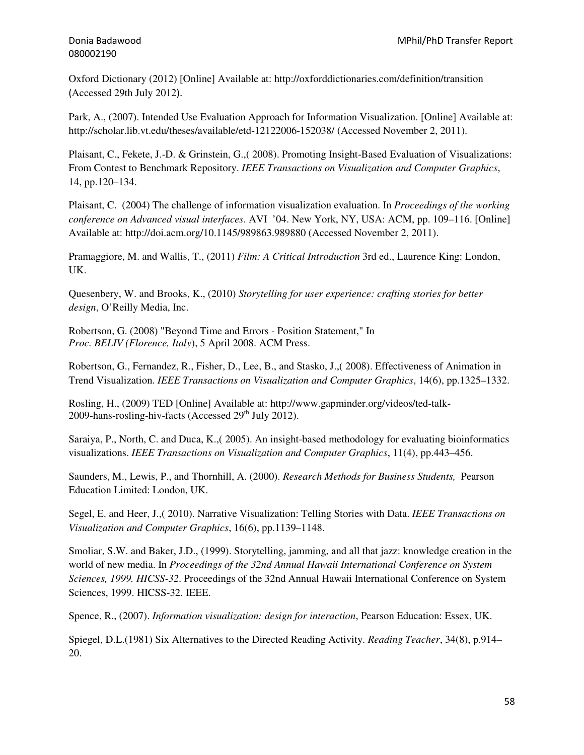Oxford Dictionary (2012) [Online] Available at: http://oxforddictionaries.com/definition/transition (Accessed 29th July 2012).

Park, A., (2007). Intended Use Evaluation Approach for Information Visualization. [Online] Available at: http://scholar.lib.vt.edu/theses/available/etd-12122006-152038/ (Accessed November 2, 2011).

Plaisant, C., Fekete, J.-D. & Grinstein, G.,( 2008). Promoting Insight-Based Evaluation of Visualizations: From Contest to Benchmark Repository. *IEEE Transactions on Visualization and Computer Graphics*, 14, pp.120–134.

Plaisant, C. (2004) The challenge of information visualization evaluation. In *Proceedings of the working conference on Advanced visual interfaces*. AVI '04. New York, NY, USA: ACM, pp. 109–116. [Online] Available at: http://doi.acm.org/10.1145/989863.989880 (Accessed November 2, 2011).

Pramaggiore, M. and Wallis, T., (2011) *Film: A Critical Introduction* 3rd ed., Laurence King: London, UK.

Quesenbery, W. and Brooks, K., (2010) *Storytelling for user experience: crafting stories for better design*, O'Reilly Media, Inc.

Robertson, G. (2008) "Beyond Time and Errors - Position Statement," In *Proc. BELIV (Florence, Italy*), 5 April 2008. ACM Press.

Robertson, G., Fernandez, R., Fisher, D., Lee, B., and Stasko, J.,( 2008). Effectiveness of Animation in Trend Visualization. *IEEE Transactions on Visualization and Computer Graphics*, 14(6), pp.1325–1332.

Rosling, H., (2009) TED [Online] Available at: http://www.gapminder.org/videos/ted-talk-2009-hans-rosling-hiv-facts (Accessed  $29<sup>th</sup>$  July 2012).

Saraiya, P., North, C. and Duca, K.,( 2005). An insight-based methodology for evaluating bioinformatics visualizations. *IEEE Transactions on Visualization and Computer Graphics*, 11(4), pp.443–456.

Saunders, M., Lewis, P., and Thornhill, A. (2000). *Research Methods for Business Students,* Pearson Education Limited: London, UK.

Segel, E. and Heer, J.,( 2010). Narrative Visualization: Telling Stories with Data. *IEEE Transactions on Visualization and Computer Graphics*, 16(6), pp.1139–1148.

Smoliar, S.W. and Baker, J.D., (1999). Storytelling, jamming, and all that jazz: knowledge creation in the world of new media. In *Proceedings of the 32nd Annual Hawaii International Conference on System Sciences, 1999. HICSS-32*. Proceedings of the 32nd Annual Hawaii International Conference on System Sciences, 1999. HICSS-32. IEEE.

Spence, R., (2007). *Information visualization: design for interaction*, Pearson Education: Essex, UK.

Spiegel, D.L.(1981) Six Alternatives to the Directed Reading Activity. *Reading Teacher*, 34(8), p.914– 20.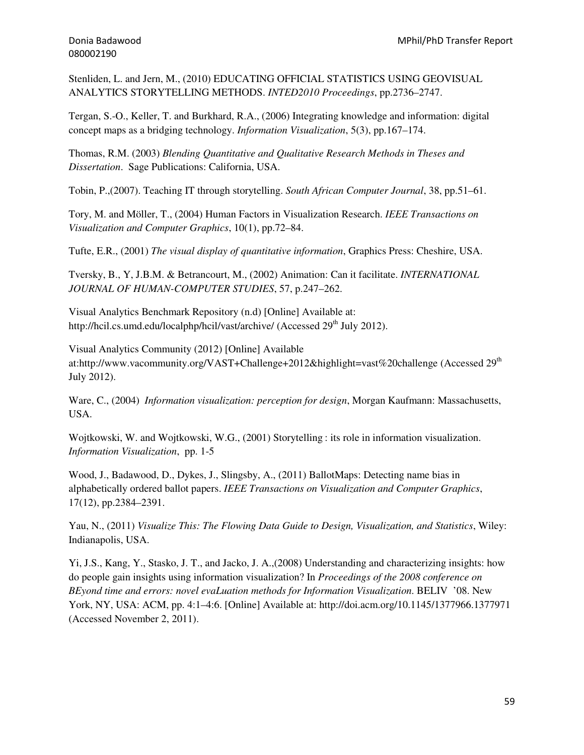Stenliden, L. and Jern, M., (2010) EDUCATING OFFICIAL STATISTICS USING GEOVISUAL ANALYTICS STORYTELLING METHODS. *INTED2010 Proceedings*, pp.2736–2747.

Tergan, S.-O., Keller, T. and Burkhard, R.A., (2006) Integrating knowledge and information: digital concept maps as a bridging technology. *Information Visualization*, 5(3), pp.167–174.

Thomas, R.M. (2003) *Blending Quantitative and Qualitative Research Methods in Theses and Dissertation*. Sage Publications: California, USA.

Tobin, P.,(2007). Teaching IT through storytelling. *South African Computer Journal*, 38, pp.51–61.

Tory, M. and Möller, T., (2004) Human Factors in Visualization Research. *IEEE Transactions on Visualization and Computer Graphics*, 10(1), pp.72–84.

Tufte, E.R., (2001) *The visual display of quantitative information*, Graphics Press: Cheshire, USA.

Tversky, B., Y, J.B.M. & Betrancourt, M., (2002) Animation: Can it facilitate. *INTERNATIONAL JOURNAL OF HUMAN-COMPUTER STUDIES*, 57, p.247–262.

Visual Analytics Benchmark Repository (n.d) [Online] Available at: http://hcil.cs.umd.edu/localphp/hcil/vast/archive/ (Accessed 29<sup>th</sup> July 2012).

Visual Analytics Community (2012) [Online] Available at:http://www.vacommunity.org/VAST+Challenge+2012&highlight=vast%20challenge (Accessed 29<sup>th</sup> July 2012).

Ware, C., (2004) *Information visualization: perception for design*, Morgan Kaufmann: Massachusetts, USA.

Wojtkowski, W. and Wojtkowski, W.G., (2001) Storytelling : its role in information visualization. *Information Visualization*, pp. 1-5

Wood, J., Badawood, D., Dykes, J., Slingsby, A., (2011) BallotMaps: Detecting name bias in alphabetically ordered ballot papers. *IEEE Transactions on Visualization and Computer Graphics*, 17(12), pp.2384–2391.

Yau, N., (2011) *Visualize This: The Flowing Data Guide to Design, Visualization, and Statistics*, Wiley: Indianapolis, USA.

Yi, J.S., Kang, Y., Stasko, J. T., and Jacko, J. A.,(2008) Understanding and characterizing insights: how do people gain insights using information visualization? In *Proceedings of the 2008 conference on BEyond time and errors: novel evaLuation methods for Information Visualization*. BELIV '08. New York, NY, USA: ACM, pp. 4:1–4:6. [Online] Available at: http://doi.acm.org/10.1145/1377966.1377971 (Accessed November 2, 2011).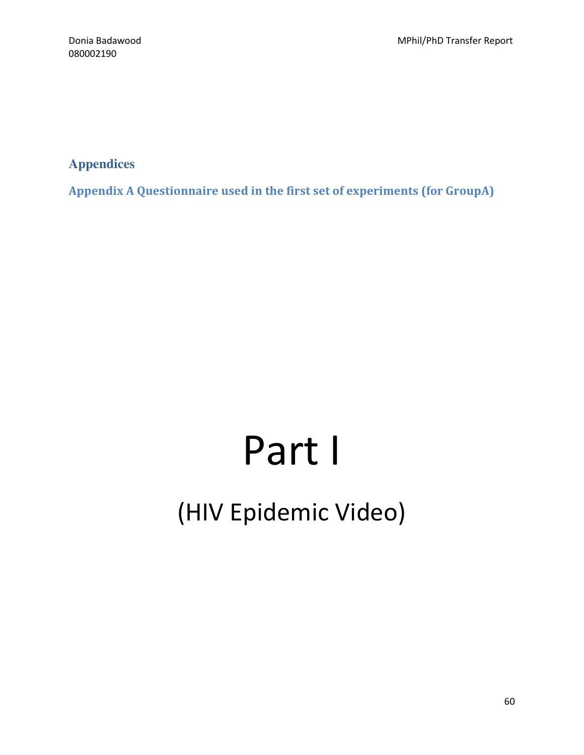**Appendices** 

Appendix A Questionnaire used in the first set of experiments (for GroupA)

# Part I (HIV Epidemic Video)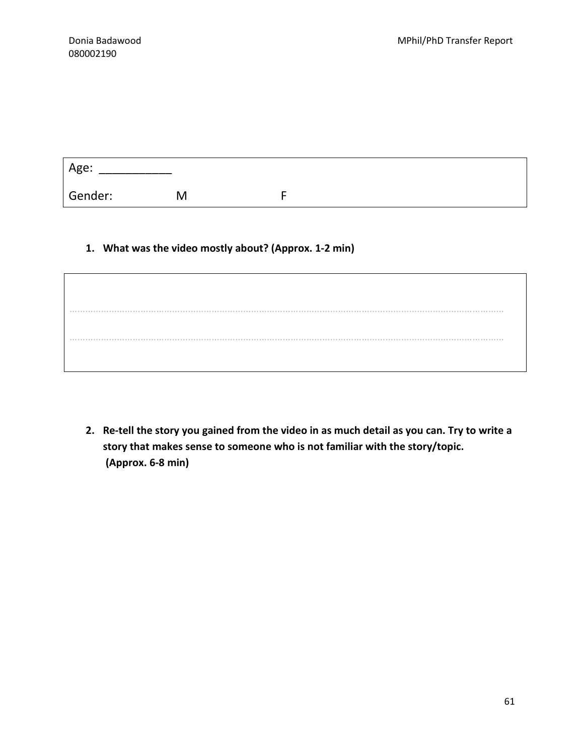| Age:    |   |  |
|---------|---|--|
| Gender: | M |  |

#### 1. What was the video mostly about? (Approx. 1-2 min)

………………………………………………………………………………………………………………………………………………… …………………………………………………………………………………………………………………………………………………

2. Re-tell the story you gained from the video in as much detail as you can. Try to write a story that makes sense to someone who is not familiar with the story/topic. (Approx. 6-8 min)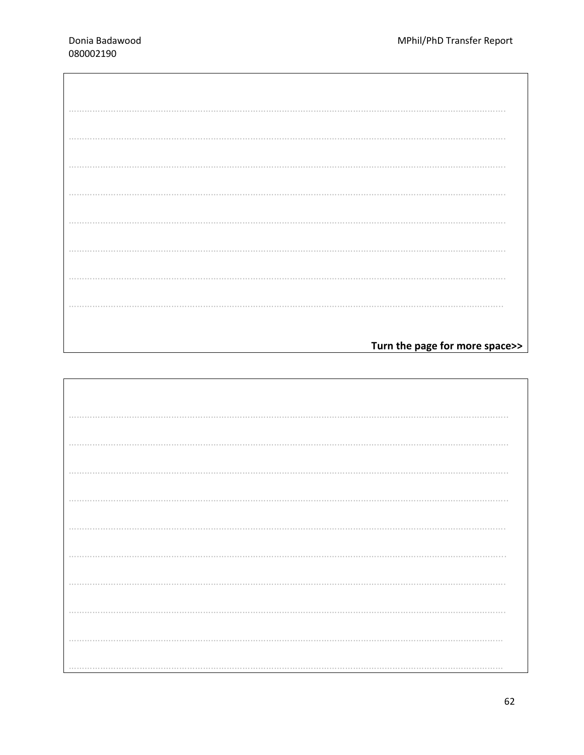| Turn the page for more space>> |
|--------------------------------|

| . |  |
|---|--|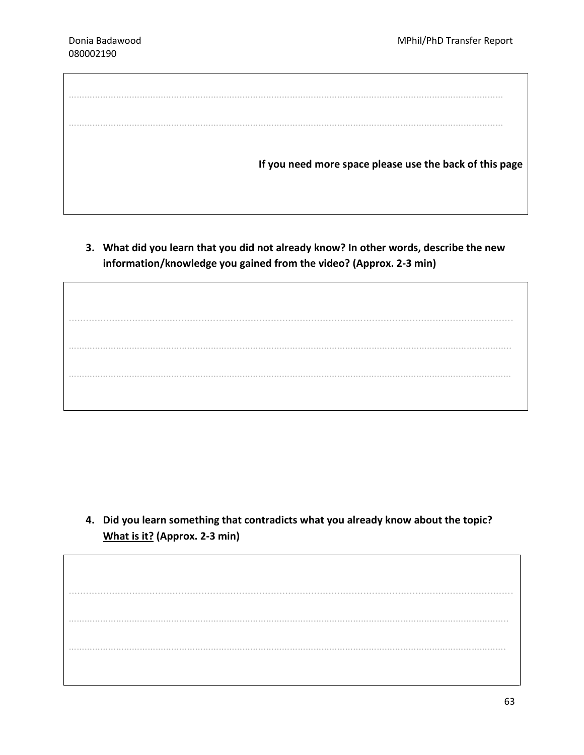………………………………………………………………………………………………………………………………………………… ………………………………………………………………………………………………………………………………………………… If you need more space please use the back of this page

3. What did you learn that you did not already know? In other words, describe the new information/knowledge you gained from the video? (Approx. 2-3 min)

.......................................................................................................................................................... ………………………………………………………………………………………………….……………………………………………….. ……………………………………………………………………………………………………………………………………………………

4. Did you learn something that contradicts what you already know about the topic? What is it? (Approx. 2-3 min)

.......................................................................................................................................................... ………………………………………………………………………………………………………………………………………………….. ………………………………………………………………………………………………………………………………………………….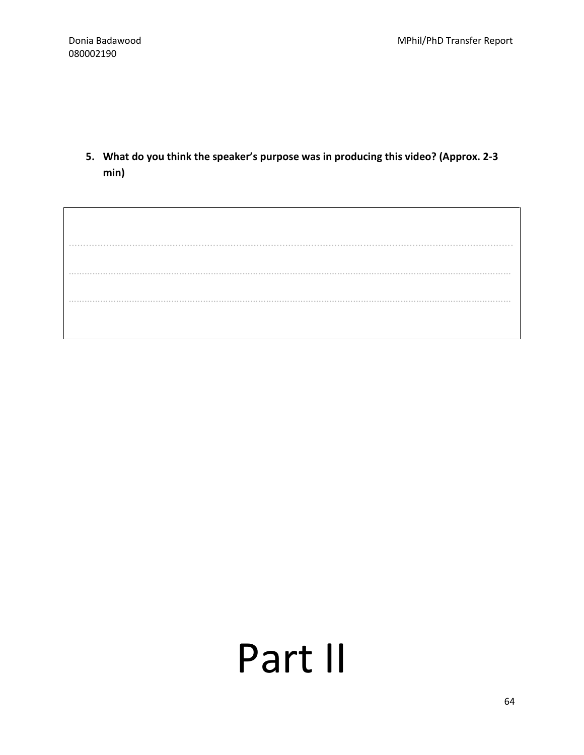5. What do you think the speaker's purpose was in producing this video? (Approx. 2-3 min)

.......................................................................................................................................................... …………………………………………………………………………………………………………………………………………………… ……………………………………………………………………………………………………………………………………………………

# Part II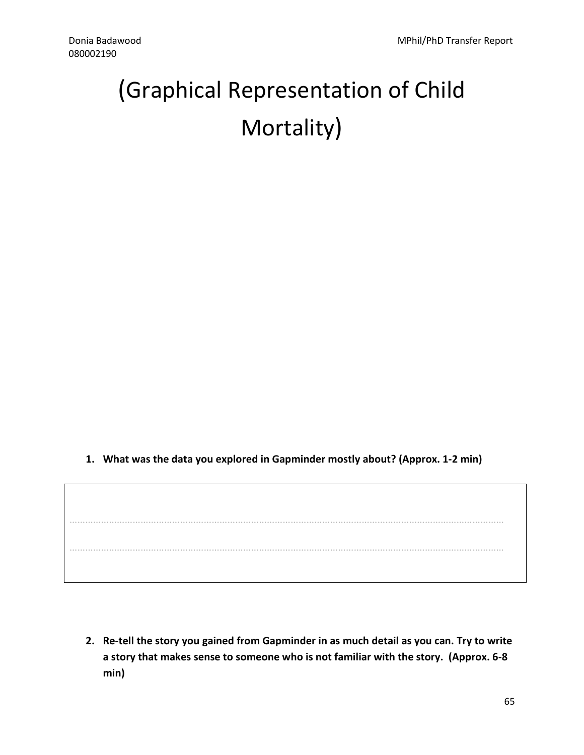# (Graphical Representation of Child Mortality)

1. What was the data you explored in Gapminder mostly about? (Approx. 1-2 min)

………………………………………………………………………………………………………………………………………………… …………………………………………………………………………………………………………………………………………………

2. Re-tell the story you gained from Gapminder in as much detail as you can. Try to write a story that makes sense to someone who is not familiar with the story. (Approx. 6-8 min)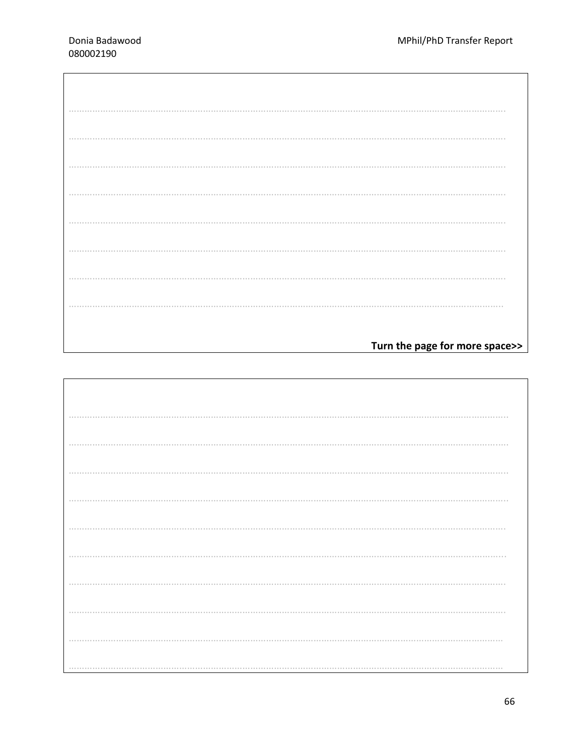| Turn the page for more space>> |
|--------------------------------|

| . |  |
|---|--|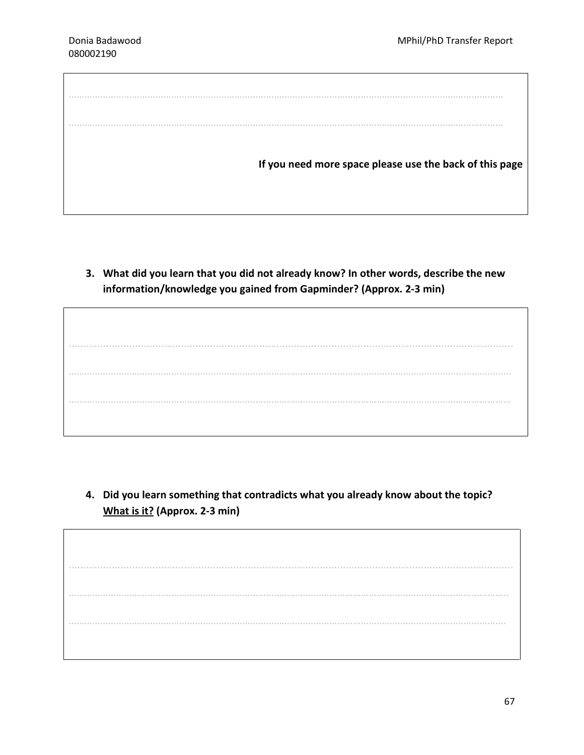| If you need more space please use the back of this page |
|---------------------------------------------------------|

3. What did you learn that you did not already know? In other words, describe the new information/knowledge you gained from Gapminder? (Approx. 2-3 min)

.......................................................................................................................................................... ………………………………………………………………………………………………….……………………………………………….. ……………………………………………………………………………………………………………………………………………………

4. Did you learn something that contradicts what you already know about the topic? What is it? (Approx. 2-3 min)

.......................................................................................................................................................... ………………………………………………………………………………………………………………………………………………….. ………………………………………………………………………………………………………………………………………………….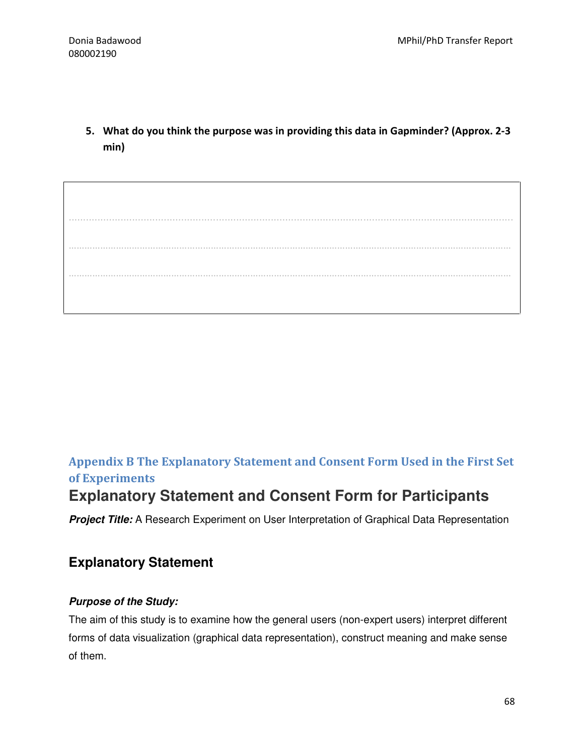5. What do you think the purpose was in providing this data in Gapminder? (Approx. 2-3 min)

.......................................................................................................................................................... …………………………………………………………………………………………………………………………………………………… ……………………………………………………………………………………………………………………………………………………

## Appendix B The Explanatory Statement and Consent Form Used in the First Set of Experiments

## **Explanatory Statement and Consent Form for Participants**

**Project Title:** A Research Experiment on User Interpretation of Graphical Data Representation

## **Explanatory Statement**

#### **Purpose of the Study:**

The aim of this study is to examine how the general users (non-expert users) interpret different forms of data visualization (graphical data representation), construct meaning and make sense of them.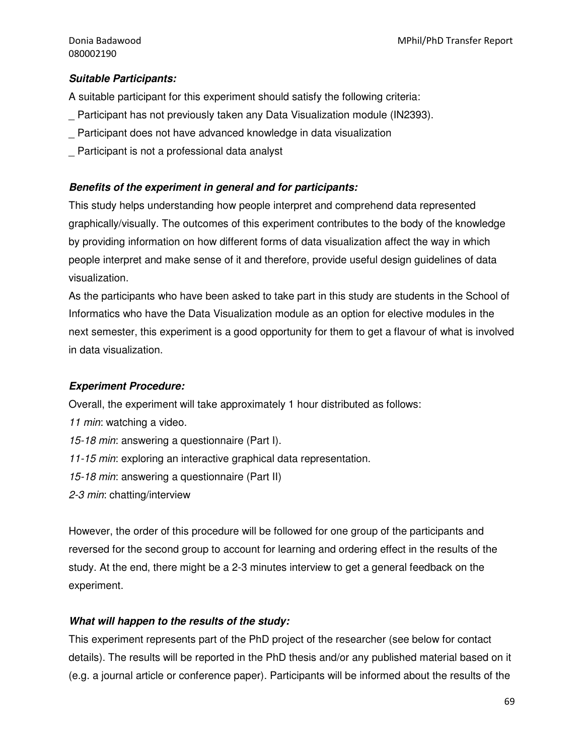#### **Suitable Participants:**

A suitable participant for this experiment should satisfy the following criteria:

- \_ Participant has not previously taken any Data Visualization module (IN2393).
- \_ Participant does not have advanced knowledge in data visualization
- Participant is not a professional data analyst

#### **Benefits of the experiment in general and for participants:**

This study helps understanding how people interpret and comprehend data represented graphically/visually. The outcomes of this experiment contributes to the body of the knowledge by providing information on how different forms of data visualization affect the way in which people interpret and make sense of it and therefore, provide useful design guidelines of data visualization.

As the participants who have been asked to take part in this study are students in the School of Informatics who have the Data Visualization module as an option for elective modules in the next semester, this experiment is a good opportunity for them to get a flavour of what is involved in data visualization.

#### **Experiment Procedure:**

Overall, the experiment will take approximately 1 hour distributed as follows:

- 11 min: watching a video.
- 15-18 min: answering a questionnaire (Part I).
- 11-15 min: exploring an interactive graphical data representation.
- 15-18 min: answering a questionnaire (Part II)
- 2-3 min: chatting/interview

However, the order of this procedure will be followed for one group of the participants and reversed for the second group to account for learning and ordering effect in the results of the study. At the end, there might be a 2-3 minutes interview to get a general feedback on the experiment.

#### **What will happen to the results of the study:**

This experiment represents part of the PhD project of the researcher (see below for contact details). The results will be reported in the PhD thesis and/or any published material based on it (e.g. a journal article or conference paper). Participants will be informed about the results of the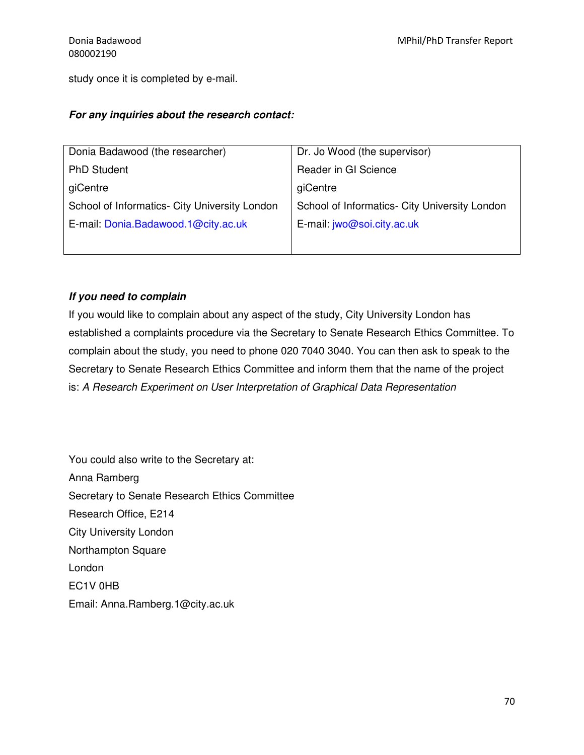study once it is completed by e-mail.

#### **For any inquiries about the research contact:**

| Donia Badawood (the researcher)               | Dr. Jo Wood (the supervisor)                  |
|-----------------------------------------------|-----------------------------------------------|
| <b>PhD Student</b>                            | Reader in GI Science                          |
| giCentre                                      | giCentre                                      |
| School of Informatics- City University London | School of Informatics- City University London |
| E-mail: Donia.Badawood.1@city.ac.uk           | E-mail: jwo@soi.city.ac.uk                    |
|                                               |                                               |

#### **If you need to complain**

If you would like to complain about any aspect of the study, City University London has established a complaints procedure via the Secretary to Senate Research Ethics Committee. To complain about the study, you need to phone 020 7040 3040. You can then ask to speak to the Secretary to Senate Research Ethics Committee and inform them that the name of the project is: A Research Experiment on User Interpretation of Graphical Data Representation

You could also write to the Secretary at: Anna Ramberg Secretary to Senate Research Ethics Committee Research Office, E214 City University London Northampton Square London EC1V 0HB Email: Anna.Ramberg.1@city.ac.uk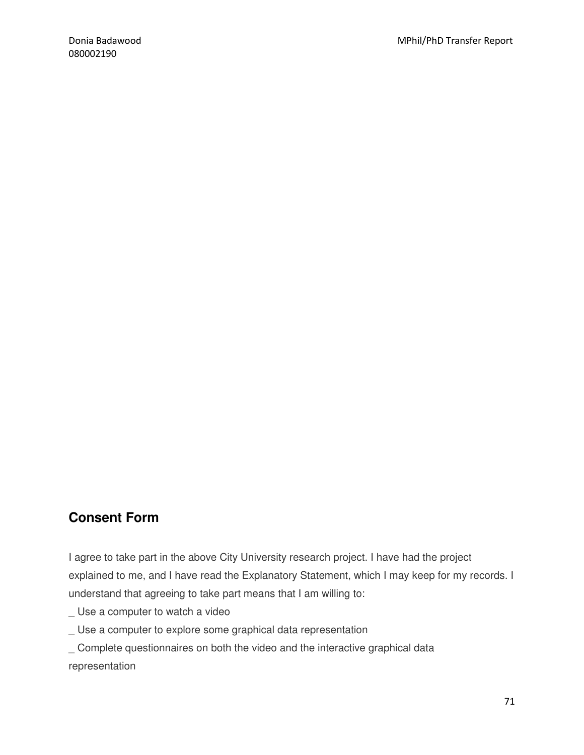## **Consent Form**

I agree to take part in the above City University research project. I have had the project explained to me, and I have read the Explanatory Statement, which I may keep for my records. I understand that agreeing to take part means that I am willing to:

- \_ Use a computer to watch a video
- \_ Use a computer to explore some graphical data representation
- \_ Complete questionnaires on both the video and the interactive graphical data representation